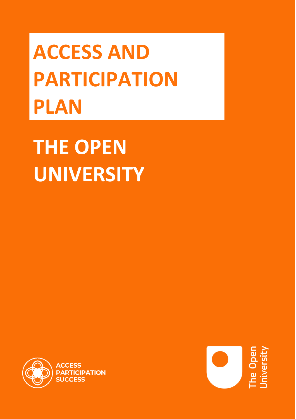**ACCESS AND PARTICIPATION PLAN**

**THE OPEN UNIVERSITY**



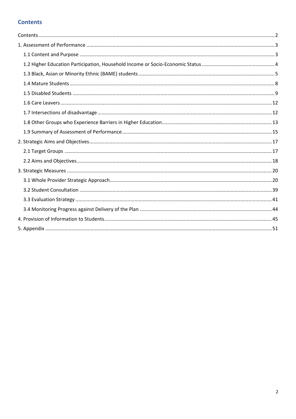### <span id="page-1-0"></span>**Contents**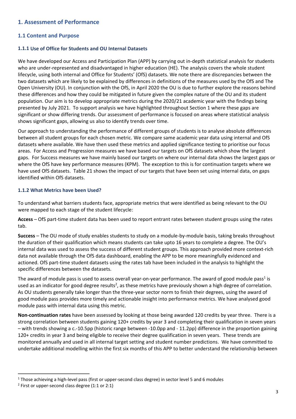#### <span id="page-2-1"></span>**1. Assessment of Performance**

#### <span id="page-2-0"></span>**1.1 Content and Purpose**

#### **1.1.1 Use of Office for Students and OU Internal Datasets**

We have developed our Access and Participation Plan (APP) by carrying out in-depth statistical analysis for students who are under-represented and disadvantaged in higher education (HE). The analysis covers the whole student lifecycle, using both internal and Office for Students' (OfS) datasets. We note there are discrepancies between the two datasets which are likely to be explained by differences in definitions of the measures used by the OfS and The Open University (OU). In conjunction with the OfS, in April 2020 the OU is due to further explore the reasons behind these differences and how they could be mitigated in future given the complex nature of the OU and its student population. Our aim is to develop appropriate metrics during the 2020/21 academic year with the findings being presented by July 2021. To support analysis we have highlighted throughout Section 1 where these gaps are significant or show differing trends. Our assessment of performance is focused on areas where statistical analysis shows significant gaps, allowing us also to identify trends over time.

Our approach to understanding the performance of different groups of students is to analyse absolute differences between all student groups for each chosen metric. We compare same academic year data using internal and OfS datasets where available. We have then used these metrics and applied significance testing to prioritise our focus areas. For Access and Progression measures we have based our targets on OfS datasets which show the largest gaps. For Success measures we have mainly based our targets on where our internal data shows the largest gaps or where the OfS have key performance measures (KPM). The exception to this is for continuation targets where we have used OfS datasets. Table 21 shows the impact of our targets that have been set using internal data, on gaps identified within OfS datasets.

#### **1.1.2 What Metrics have been Used?**

To understand what barriers students face, appropriate metrics that were identified as being relevant to the OU were mapped to each stage of the student lifecycle:

**Access** – OfS part-time student data has been used to report entrant rates between student groups using the rates tab.

**Success** – The OU mode of study enables students to study on a module-by-module basis, taking breaks throughout the duration of their qualification which means students can take upto 16 years to complete a degree. The OU's internal data was used to assess the success of different student groups. This approach provided more context-rich data not available through the OfS data dashboard, enabling the APP to be more meaningfully evidenced and actioned. OfS part-time student datasets using the rates tab have been included in the analysis to highlight the specific differences between the datasets.

The award of module pass is used to assess overall year-on-year performance. The award of good module pass<sup>1</sup> is used as an indicator for good degree results<sup>2</sup>, as these metrics have previously shown a high degree of correlation. As OU students generally take longer than the three-year sector norm to finish their degrees, using the award of good module pass provides more timely and actionable insight into performance metrics. We have analysed good module pass with internal data using this metric.

**Non-continuation rates** have been assessed by looking at those being awarded 120 credits by year three. There is a strong correlation between students gaining 120+ credits by year 3 and completing their qualification in seven years – with trends showing a c.-10.5pp (historic range between -10.0pp and - 11.2pp) difference in the proportion gaining 120+ credits in year 3 and being eligible to receive their degree qualification in seven years. These trends are monitored annually and used in all internal target setting and student number predictions. We have committed to undertake additional modelling within the first six months of this APP to better understand the relationship between

<sup>1</sup> Those achieving a high-level pass (first or upper-second class degree) in sector level 5 and 6 modules

 $2$  First or upper-second class degree (1:1 or 2:1)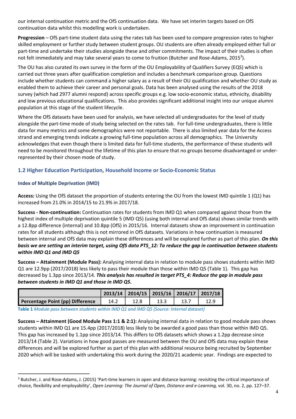our internal continuation metric and the OfS continuation data. We have set interim targets based on OfS continuation data whilst this modelling work is undertaken.

**Progression** – OfS part-time student data using the rates tab has been used to compare progression rates to higher skilled employment or further study between student groups. OU students are often already employed either full or part-time and undertake their studies alongside these and other commitments. The impact of their studies is often not felt immediately and may take several years to come to fruition (Butcher and Rose-Adams, 2015<sup>3</sup>).

The OU has also curated its own survey in the form of the OU Employability of Qualifiers Survey (EQS) which is carried out three years after qualification completion and includes a benchmark comparison group. Questions include whether students can command a higher salary as a result of their OU qualification and whether OU study as enabled them to achieve their career and personal goals. Data has been analysed using the results of the 2018 survey (which had 2977 alumni respond) across specific groups e.g. low socio-economic status, ethnicity, disability and low previous educational qualifications. This also provides significant additional insight into our unique alumni population at this stage of the student lifecycle.

Where the OfS datasets have been used for analysis, we have selected all undergraduates for the level of study alongside the part-time mode of study being selected on the rates tab. For full-time undergraduates, there is little data for many metrics and some demographics were not reportable. There is also limited year data for the Access strand and emerging trends indicate a growing full-time population across all demographics. The University acknowledges that even though there is limited data for full-time students, the performance of these students will need to be monitored throughout the lifetime of this plan to ensure that no groups become disadvantaged or underrepresented by their chosen mode of study.

#### <span id="page-3-0"></span>**1.2 Higher Education Participation, Household Income or Socio-Economic Status**

#### **Index of Multiple Deprivation (IMD)**

**Access:** Using the OfS dataset the proportion of students entering the OU from the lowest IMD quintile 1 (Q1) has increased from 21.0% in 2014/15 to 21.9% in 2017/18.

**Success - Non-continuation:** Continuation rates for students from IMD Q1 when compared against those from the highest index of multiple deprivation quintile 5 (IMD Q5) (using both internal and OfS data) shows similar trends with a 12.8pp difference (internal) and 10.8pp (OfS) in 2015/16. Internal datasets show an improvement in continuation rates for all students although this is not mirrored in OfS datasets. Variations in how continuation is measured between internal and OfS data may explain these differences and will be explored further as part of this plan. *On this basis we are setting an interim target, using OfS data PTS\_12: To reduce the gap in continuation between students within IMD Q1 and IMD Q5*

**Success – Attainment (Module Pass):** Analysing internal data in relation to module pass shows students within IMD Q1 are 12.9pp (2017/2018) less likely to pass their module than those within IMD Q5 (Table 1). This gap has decreased by 1.3pp since 2013/14. *This analysis has resulted in target PTS\_4: Reduce the gap in module pass between students in IMD Q1 and those in IMD Q5.*

|                                  |      |      | 2013/14   2014/15   2015/16   2016/17   2017/18 |
|----------------------------------|------|------|-------------------------------------------------|
| Percentage Point (pp) Difference | 14.2 | 13.3 |                                                 |

**Table 1** *Module pass between students within IMD Q1 and IMD Q5 (Source: Internal dataset)*

**Success – Attainment (Good Module Pass 1:1 & 2:1):** Analysing internal data in relation to good module pass shows students within IMD Q1 are 15.4pp (2017/2018) less likely to be awarded a good pass than those within IMD Q5. This gap has increased by 1.1pp since 2013/14. This differs to OfS datasets which shows a 1.2pp decrease since 2013/14 (Table 2). Variations in how good passes are measured between the OU and OfS data may explain these differences and will be explored further as part of this plan with additional resource being recruited by September 2020 which will be tasked with undertaking this work during the 2020/21 academic year. Findings are expected to

<sup>&</sup>lt;sup>3</sup> Butcher, J. and Rose-Adams, J. (2015) 'Part-time learners in open and distance learning: revisiting the critical importance of choice, flexibility and employability', *Open Learning: The Journal of Open, Distance and e-Learning,* vol. 30, no. 2, pp. 127–37.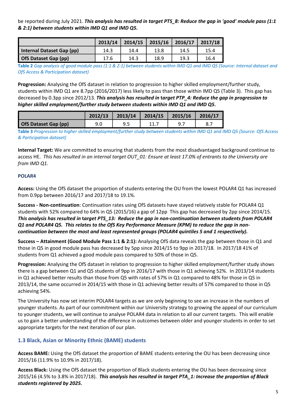be reported during July 2021. *This analysis has resulted in target PTS\_8: Reduce the gap in 'good' module pass (1:1 & 2:1) between students within IMD Q1 and IMD Q5.*

|                           | 2013/14 | 2014/15 | 2015/16 | 2016/17 | 2017/18 |
|---------------------------|---------|---------|---------|---------|---------|
| Internal Dataset Gap (pp) | 14.3    | 14.4    | 13.8    | 14.5    | 15.4    |
| OfS Dataset Gap (pp)      | 17.6    | 14.3    | 18.9    | 19.3    | 16.4    |

**Table 2** *Gap analysis of good module pass (1:1 & 2:1) between students within IMD Q1 and IMD Q5 (Source: Internal dataset and OfS Access & Participation dataset)* 

**Progression:** Analysing the OfS dataset in relation to progression to higher skilled employment/further study, students within IMD Q1 are 8.7pp (2016/2017) less likely to pass than those within IMD Q5 (Table 3). This gap has decreased by 0.3pp since 2012/13. *This analysis has resulted in* **t***arget PTP\_4: Reduce the gap in progression to higher skilled employment/further study between students within IMD Q1 and IMD Q5.*

|                      | 2012/13 | $2013/14$   2014/15   2015/16 |     | 2016/17 |
|----------------------|---------|-------------------------------|-----|---------|
| OfS Dataset Gap (pp) | 9.0     |                               | 9.7 | 8.,     |

**Table 3** *Progression to higher skilled employment/further study between students within IMD Q1 and IMD Q5 (Source: OfS Access & Participation dataset)*

**Internal Target:** We are committed to ensuring that students from the most disadvantaged background continue to access HE. *This has resulted in an internal target OUT\_01: Ensure at least 17.0% of entrants to the University are from IMD Q1.*

#### **POLAR4**

**Access:** Using the OfS dataset the proportion of students entering the OU from the lowest POLAR4 Q1 has increased from 0.9pp between 2016/17 and 2017/18 to 19.1%.

**Success - Non-continuation**: Continuation rates using OfS datasets have stayed relatively stable for POLAR4 Q1 students with 52% compared to 64% in Q5 (2015/16) a gap of 12pp This gap has decreased by 2pp since 2014/15. *This analysis has resulted in* **t***arget PTS\_13: Reduce the gap in non-continuation between students from POLAR4 Q1 and POLAR4 Q5. This relates to the OfS Key Performance Measure (KPM) to reduce the gap in noncontinuation between the most and least represented groups (POLAR4 quintiles 5 and 1 respectively).*

**Success – Attainment (Good Module Pass 1:1 & 2:1):** Analysing OfS data reveals the gap between those in Q1 and those in Q5 in good module pass has decreased by 5pp since 2014/15 to 9pp in 2017/18. In 2017/18 41% of students from Q1 achieved a good module pass compared to 50% of those in Q5.

**Progression:** Analysing the OfS dataset in relation to progression to higher skilled employment/further study shows there is a gap between Q1 and Q5 students of 9pp in 2016/17 with those in Q1 achieving 52%. In 2013/14 students in Q1 achieved better results than those from Q5 with rates of 57% in Q1 compared to 48% for those in Q5 in 2013/14, the same occurred in 2014/15 with those in Q1 achieving better results of 57% compared to those in Q5 achieving 54%.

The University has now set interim POLAR4 targets as we are only beginning to see an increase in the numbers of younger students. As part of our commitment within our University strategy to growing the appeal of our curriculum to younger students, we will continue to analyse POLAR4 data in relation to all our current targets. This will enable us to gain a better understanding of the difference in outcomes between older and younger students in order to set appropriate targets for the next iteration of our plan.

#### <span id="page-4-0"></span>**1.3 Black, Asian or Minority Ethnic (BAME) students**

**Access BAME:** Using the OfS dataset the proportion of BAME students entering the OU has been decreasing since 2015/16 (11.9% to 10.9% in 2017/18).

**Access Black:** Using the OfS dataset the proportion of Black students entering the OU has been decreasing since 2015/16 (4.5% to 3.8% in 2017/18). *This analysis has resulted in target PTA\_1: Increase the proportion of Black students registered by 2025.*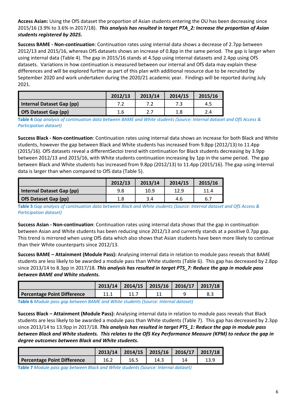**Access Asian:** Using the OfS dataset the proportion of Asian students entering the OU has been decreasing since 2015/16 (3.9% to 3.6% in 2017/18). *This analysis has resulted in target PTA\_2: Increase the proportion of Asian students registered by 2025.*

**Success BAME - Non-continuation**: Continuation rates using internal data shows a decrease of 2.7pp between 2012/13 and 2015/16, whereas OfS datasets shows an increase of 0.8pp in the same period. The gap is larger when using internal data (Table 4). The gap in 2015/16 stands at 4.5pp using internal datasets and 2.4pp using OfS datasets. Variations in how continuation is measured between our internal and OfS data may explain these differences and will be explored further as part of this plan with additional resource due to be recruited by September 2020 and work undertaken during the 2020/21 academic year. Findings will be reported during July 2021.

|                           | 2012/13 | 2013/14 | 2014/15 | 2015/16 |
|---------------------------|---------|---------|---------|---------|
| Internal Dataset Gap (pp) |         |         |         | 4.5     |
| OfS Dataset Gap (pp)      | 1.6     | 2.7     | 1.8     |         |

**Table 4** *Gap analysis of continuation data between BAME and White students (Source: Internal dataset and OfS Access & Participation dataset)* 

**Success Black - Non-continuation**: Continuation rates using internal data shows an increase for both Black and White students, however the gap between Black and White students has increased from 9.8pp (2012/13) to 11.4pp (2015/16). OfS datasets reveal a differentSectoi trend with continuation for Black students decreasing by 3.9pp between 2012/13 and 2015/16, with White students continuation increasing by 1pp in the same period. The gap between Black and White students has increased from 9.8pp (2012/13) to 11.4pp (2015/16). The gap using internal data is larger than when compared to OfS data (Table 5).

|                           | 2012/13 | 2013/14 | 2014/15 | 2015/16 |
|---------------------------|---------|---------|---------|---------|
| Internal Dataset Gap (pp) | 9.8     | 10.9    | 12.9    | 11.4    |
| OfS Dataset Gap (pp)      | 1.8     | 3.4     | 4.6     | 6.7     |

**Table 5** *Gap analysis of continuation data between Black and White students (Source: Internal dataset and OfS Access & Participation dataset)* 

**Success Asian - Non-continuation**: Continuation rates using internal data shows that the gap in continuation between Asian and White students has been reducing since 2012/13 and currently stands at a positive 0.7pp gap. This trend is mirrored when using OfS data which also shows that Asian students have been more likely to continue than their White counterparts since 2012/13.

**Success BAME – Attainment (Module Pass):** Analysing internal data in relation to module pass reveals that BAME students are less likely to be awarded a module pass than White students (Table 6). This gap has decreased by 2.8pp since 2013/14 to 8.3pp in 2017/18. *This analysis has resulted in target PTS\_7: Reduce the gap in module pass between BAME and White students.*

|                             | $2013/14$   2014/15   2015/16   2016/17   2017/18 |  |  |
|-----------------------------|---------------------------------------------------|--|--|
| Percentage Point Difference |                                                   |  |  |

**Table 6** *Module pass gap between BAME and White students (Source: Internal dataset)*

**Success Black – Attainment (Module Pass):** Analysing internal data in relation to module pass reveals that Black students are less likely to be awarded a module pass than White students (Table 7). This gap has decreased by 2.3pp since 2013/14 to 13.9pp in 2017/18. *This analysis has resulted in target PTS\_1: Reduce the gap in module pass between Black and White students. This relates to the OfS Key Performance Measure (KPM) to reduce the gap in degree outcomes between Black and White students.*

|                                    |      | $2013/14$   2014/15   2015/16   2016/17 |      | 2017/18 |
|------------------------------------|------|-----------------------------------------|------|---------|
| <b>Percentage Point Difference</b> | 16.2 | 16.5                                    | 14.3 | 13.9    |

**Table 7** *Module pass gap between Black and White students (Source: Internal dataset)*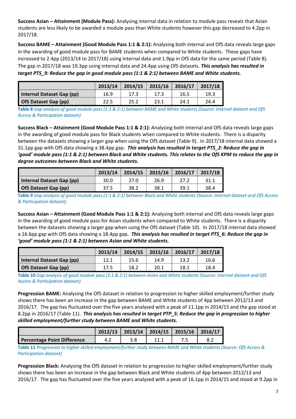**Success Asian – Attainment (Module Pass):** Analysing internal data in relation to module pass reveals that Asian students are less likely to be awarded a module pass than White students however this gap decreased to 4.2pp in 2017/18.

**Success BAME – Attainment (Good Module Pass 1:1 & 2:1):** Analysing both internal and OfS data reveals large gaps in the awarding of good module pass for BAME students when compared to White students. These gaps have increased to 2.4pp (2013/14 to 2017/18) using internal data and 1.9pp in OfS data for the same period (Table 8). The gap in 2017/18 was 19.3pp using internal data and 24.4pp using OfS datasets. *This analysis has resulted in target PTS\_9: Reduce the gap in good module pass (1:1 & 2:1) between BAME and White students.*

|                           | 2013/14 | 2014/15 | 2015/16 | 2016/17 | 2017/18 |
|---------------------------|---------|---------|---------|---------|---------|
| Internal Dataset Gap (pp) | 16.9    | 17.3    | 17.3    | 16.5    | 19.3    |
| OfS Dataset Gap (pp)      | 22.5    | 25.2    | 23.1    | 24.1    | 24.4    |

**Table 8** *Gap analysis of good module pass (1:1 & 2:1) between BAME and White students (Source: Internal dataset and OfS Access & Participation dataset)* 

**Success Black – Attainment (Good Module Pass 1:1 & 2:1):** Analysing both internal and OfS data reveals large gaps in the awarding of good module pass for Black students when compared to White students. There is a disparity between the datasets showing a larger gap when using the OfS dataset (Table 9). In 2017/18 internal data showed a 31.1pp gap with OfS data showing a 38.4pp gap. *This analysis has resulted in target PTS\_2: Reduce the gap in 'good' module pass (1:1 & 2:1) between Black and White students. This relates to the OfS KPM to reduce the gap in degree outcomes between Black and White students.*

|                           | 2013/14 | 2014/15 | 2015/16 | 2016/17 | 2017/18 |
|---------------------------|---------|---------|---------|---------|---------|
| Internal Dataset Gap (pp) | 30.0    | 27.0    | 26.9    | 27.2    |         |
| OfS Dataset Gap (pp)      | 37.5    | 38.2    | 38.1    | 39.1    | 38.4    |

**Table 9** *Gap analysis of good module pass (1:1 & 2:1) between Black and White students (Source: Internal dataset and OfS Access & Participation dataset)* 

**Success Asian – Attainment (Good Module Pass 1:1 & 2:1):** Analysing both internal and OfS data reveals large gaps in the awarding of good module pass for Asian students when compared to White students. There is a disparity between the datasets showing a larger gap when using the OfS dataset (Table 10). In 2017/18 internal data showed a 16.6pp gap with OfS data showing a 18.4pp gap. *This analysis has resulted in target PTS\_6: Reduce the gap in 'good' module pass (1:1 & 2:1) between Asian and White students.* 

|                           | 2013/14 | 2014/15 | 2015/16 | 2016/17 | 2017/18 |
|---------------------------|---------|---------|---------|---------|---------|
| Internal Dataset Gap (pp) | 12.1    | 15.6    | 14.9    | 13.2    | 16.6    |
| OfS Dataset Gap (pp)      | 17.5    | 18.2    | 20.1    | 18.1    | 18.4    |

**Table 10** *Gap analysis of good module pass (1:1 & 2:1) between Asian and White students (Source: Internal dataset and OfS Access & Participation dataset)* 

**Progression BAME:** Analysing the OfS dataset in relation to progression to higher skilled employment/further study shows there has been an increase in the gap between BAME and White students of 4pp between 2012/13 and 2016/17. The gap has fluctuated over the five years analysed with a peak of 11.1pp in 2014/15 and the gap stood at 8.2pp in 2016/17 (Table 11). *This analysis has resulted in target PTP\_5: Reduce the gap in progression to higher skilled employment/further study between BAME and White students.*

|                             |     | $2012/13$   2013/14   2014/15   2015/16   2016/17 |  |
|-----------------------------|-----|---------------------------------------------------|--|
| Percentage Point Difference | 4.4 |                                                   |  |

**Table 11** *Progression to higher skilled employment/further study between BAME and White students (Source: OfS Access & Participation dataset)*

**Progression Black:** Analysing the OfS dataset in relation to progression to higher skilled employment/further study shows there has been an increase in the gap between Black and White students of 4pp between 2012/13 and 2016/17. The gap has fluctuated over the five years analysed with a peak of 16.1pp in 2014/15 and stood at 9.2pp in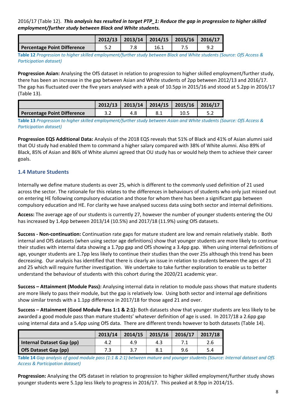2016/17 (Table 12). *This analysis has resulted in target PTP\_1: Reduce the gap in progression to higher skilled employment/further study between Black and White students.*

|                             |     | $2012/13$   2013/14   2014/15   2015/16   2016/17 |      |  |
|-----------------------------|-----|---------------------------------------------------|------|--|
| Percentage Point Difference | ے.د |                                                   | 16.1 |  |

**Table 12** *Progression to higher skilled employment/further study between Black and White students (Source: OfS Access & Participation dataset)*

**Progression Asian:** Analysing the OfS dataset in relation to progression to higher skilled employment/further study, there has been an increase in the gap between Asian and White students of 2pp between 2012/13 and 2016/17. The gap has fluctuated over the five years analysed with a peak of 10.5pp in 2015/16 and stood at 5.2pp in 2016/17 (Table 13).

|                             |     | $2012/13$   2013/14   2014/15   2015/16   2016/17 |      |  |
|-----------------------------|-----|---------------------------------------------------|------|--|
| Percentage Point Difference | J.Z |                                                   | 10.5 |  |

**Table 13** *Progression to higher skilled employment/further study between Asian and White students (Source: OfS Access & Participation dataset)*

**Progression EQS Additional Data:** Analysis of the 2018 EQS reveals that 51% of Black and 41% of Asian alumni said that OU study had enabled them to command a higher salary compared with 38% of White alumni. Also 89% of Black, 85% of Asian and 86% of White alumni agreed that OU study has or would help them to achieve their career goals.

#### <span id="page-7-0"></span>**1.4 Mature Students**

Internally we define mature students as over 25, which is different to the commonly used definition of 21 used across the sector. The rationale for this relates to the differences in behaviours of students who only just missed out on entering HE following compulsory education and those for whom there has been a significant gap between compulsory education and HE. For clarity we have analysed success data using both sector and internal definitions.

**Access:** The average age of our students is currently 27, however the number of younger students entering the OU has increased by 1.4pp between 2013/14 (10.5%) and 2017/18 (11.9%) using OfS datasets.

**Success - Non-continuation:** Continuation rate gaps for mature student are low and remain relatively stable. Both internal and OfS datasets (when using sector age definitions) show that younger students are more likely to continue their studies with internal data showing a 1.7pp gap and OfS showing a 3.4pp gap. When using internal definitions of age, younger students are 1.7pp less likely to continue their studies than the over 25s although this trend has been decreasing. Our analysis has identified that there is clearly an issue in relation to students between the ages of 21 and 25 which will require further investigation. We undertake to take further exploration to enable us to better understand the behaviour of students with this cohort during the 2020/21 academic year.

**Success – Attainment (Module Pass):** Analysing internal data in relation to module pass shows that mature students are more likely to pass their module, but the gap is relatively low. Using both sector and internal age definitions show similar trends with a 1.1pp difference in 2017/18 for those aged 21 and over.

**Success – Attainment (Good Module Pass 1:1 & 2:1):** Both datasets show that younger students are less likely to be awarded a good module pass than mature students' whatever definition of age is used. In 2017/18 a 2.6pp gap using internal data and a 5.4pp using OfS data. There are different trends however to both datasets (Table 14).

|                           | 2013/14 | 2014/15 | 2015/16 | 2016/17 | 2017/18 |
|---------------------------|---------|---------|---------|---------|---------|
| Internal Dataset Gap (pp) | ے.4     | 4.9     | 4.3     |         | 2.6     |
| OfS Dataset Gap (pp)      |         |         | 8.1     | 9.6     | 5.4     |

**Table 14** *Gap analysis of good module pass (1:1 & 2:1) between mature and younger students (Source: Internal dataset and OfS Access & Participation dataset)* 

**Progression:** Analysing the OfS dataset in relation to progression to higher skilled employment/further study shows younger students were 5.1pp less likely to progress in 2016/17. This peaked at 8.9pp in 2014/15.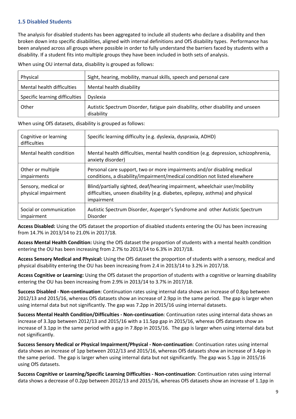#### <span id="page-8-0"></span>**1.5 Disabled Students**

The analysis for disabled students has been aggregated to include all students who declare a disability and then broken down into specific disabilities, aligned with internal definitions and OfS disability types. Performance has been analysed across all groups where possible in order to fully understand the barriers faced by students with a disability. If a student fits into multiple groups they have been included in both sets of analysis.

When using OU internal data, disability is grouped as follows:

| Physical                       | Sight, hearing, mobility, manual skills, speech and personal care                |
|--------------------------------|----------------------------------------------------------------------------------|
| Mental health difficulties     | Mental health disability                                                         |
| Specific learning difficulties | <b>Dyslexia</b>                                                                  |
| Other                          | Autistic Spectrum Disorder, fatigue pain disability, other disability and unseen |
|                                | disability                                                                       |

When using OfS datasets, disability is grouped as follows:

| Cognitive or learning<br>difficulties      | Specific learning difficulty (e.g. dyslexia, dyspraxia, ADHD)                                                                                                              |
|--------------------------------------------|----------------------------------------------------------------------------------------------------------------------------------------------------------------------------|
| Mental health condition                    | Mental health difficulties, mental health condition (e.g. depression, schizophrenia,<br>anxiety disorder)                                                                  |
| Other or multiple<br><i>impairments</i>    | Personal care support, two or more impairments and/or disabling medical<br>conditions, a disability/impairment/medical condition not listed elsewhere                      |
| Sensory, medical or<br>physical impairment | Blind/partially sighted, deaf/hearing impairment, wheelchair user/mobility<br>difficulties, unseen disability (e.g. diabetes, epilepsy, asthma) and physical<br>impairment |
| Social or communication<br>impairment      | Autistic Spectrum Disorder, Asperger's Syndrome and other Autistic Spectrum<br>Disorder                                                                                    |

**Access Disabled:** Using the OfS dataset the proportion of disabled students entering the OU has been increasing from 14.7% in 2013/14 to 21.0% in 2017/18.

**Access Mental Health Condition:** Using the OfS dataset the proportion of students with a mental health condition entering the OU has been increasing from 2.7% to 2013/14 to 6.3% in 2017/18.

**Access Sensory Medical and Physical:** Using the OfS dataset the proportion of students with a sensory, medical and physical disability entering the OU has been increasing from 2.4 in 2013/14 to 3.2% in 2017/18.

**Access Cognitive or Learning:** Using the OfS dataset the proportion of students with a cognitive or learning disability entering the OU has been increasing from 2.9% in 2013/14 to 3.7% in 2017/18.

**Success Disabled - Non-continuation**: Continuation rates using internal data shows an increase of 0.8pp between 2012/13 and 2015/16, whereas OfS datasets show an increase of 2.9pp in the same period. The gap is larger when using internal data but not significantly. The gap was 7.2pp in 2015/16 using internal datasets.

**Success Mental Health Condition/Difficulties - Non-continuation**: Continuation rates using internal data shows an increase of 3.3pp between 2012/13 and 2015/16 with a 11.5pp gap in 2015/16, whereas OfS datasets show an increase of 3.1pp in the same period with a gap in 7.8pp in 2015/16. The gap is larger when using internal data but not significantly.

**Success Sensory Medical or Physical Impairment/Physical - Non-continuation**: Continuation rates using internal data shows an increase of 1pp between 2012/13 and 2015/16, whereas OfS datasets show an increase of 3.4pp in the same period. The gap is larger when using internal data but not significantly. The gap was 5.1pp in 2015/16 using OfS datasets.

**Success Cognitive or Learning/Specific Learning Difficulties - Non-continuation**: Continuation rates using internal data shows a decrease of 0.2pp between 2012/13 and 2015/16, whereas OfS datasets show an increase of 1.1pp in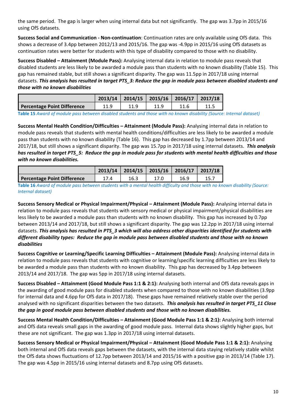the same period. The gap is larger when using internal data but not significantly. The gap was 3.7pp in 2015/16 using OfS datasets.

**Success Social and Communication - Non-continuation**: Continuation rates are only available using OfS data. This shows a decrease of 3.4pp between 2012/13 and 2015/16. The gap was -4.9pp in 2015/16 using OfS datasets as continuation rates were better for students with this type of disability compared to those with no disability.

**Success Disabled – Attainment (Module Pass):** Analysing internal data in relation to module pass reveals that disabled students are less likely to be awarded a module pass than students with no known disability (Table 15). This gap has remained stable, but still shows a significant disparity. The gap was 11.5pp in 2017/18 using internal datasets. *This analysis has resulted in target PTS\_3: Reduce the gap in module pass between disabled students and those with no known disabilities*

|                             |      | $2013/14$   2014/15   2015/16   2016/17   2017/18 |  |      |
|-----------------------------|------|---------------------------------------------------|--|------|
| Percentage Point Difference | 11.9 |                                                   |  | 11.5 |

**Table 15** *Award of module pass between disabled students and those with no known disability (Source: Internal dataset)*

**Success Mental Health Condition/Difficulties – Attainment (Module Pass):** Analysing internal data in relation to module pass reveals that students with mental health conditions/difficulties are less likely to be awarded a module pass than students with no known disability (Table 16). This gap has decreased by 1.7pp between 2013/14 and 2017/18, but still shows a significant disparity. The gap was 15.7pp in 2017/18 using internal datasets. *This analysis has resulted in target PTS\_5: Reduce the gap in module pass for students with mental health difficulties and those with no known disabilities.*

|                             |      | $2013/14$   2014/15   2015/16   2016/17   2017/18 |      |  |
|-----------------------------|------|---------------------------------------------------|------|--|
| Percentage Point Difference | 17.4 | 16.3                                              | 16.9 |  |

**Table 16** *Award of module pass between students with a mental health difficulty and those with no known disability (Source: Internal dataset)*

**Success Sensory Medical or Physical Impairment/Physical – Attainment (Module Pass):** Analysing internal data in relation to module pass reveals that students with sensory medical or physical impairment/physical disabilities are less likely to be awarded a module pass than students with no known disability. This gap has increased by 0.7pp between 2013/14 and 2017/18, but still shows a significant disparity. The gap was 12.2pp in 2017/18 using internal datasets. *This analysis has resulted in PTS\_3 which will also address other disparities identified for students with different disability types: Reduce the gap in module pass between disabled students and those with no known disabilities*

**Success Cognitive or Learning/Specific Learning Difficulties – Attainment (Module Pass):** Analysing internal data in relation to module pass reveals that students with cognitive or learning/specific learning difficulties are less likely to be awarded a module pass than students with no known disability. This gap has decreased by 3.4pp between 2013/14 and 2017/18. The gap was 5pp in 2017/18 using internal datasets.

**Success Disabled – Attainment (Good Module Pass 1:1 & 2:1):** Analysing both internal and OfS data reveals gaps in the awarding of good module pass for disabled students when compared to those with no known disabilities (3.9pp for internal data and 4.6pp for OfS data in 2017/18). These gaps have remained relatively stable over the period analysed with no significant disparities between the two datasets. *This analysis has resulted in target PTS\_11 Close the gap in good module pass between disabled students and those with no known disabilities.*

**Success Mental Health Condition/Difficulties – Attainment (Good Module Pass 1:1 & 2:1):** Analysing both internal and OfS data reveals small gaps in the awarding of good module pass. Internal data shows slightly higher gaps, but these are not significant. The gap was 1.3pp in 2017/18 using internal datasets.

**Success Sensory Medical or Physical Impairment/Physical – Attainment (Good Module Pass 1:1 & 2:1):** Analysing both internal and OfS data reveals gaps between the datasets, with the internal data staying relatively stable whilst the OfS data shows fluctuations of 12.7pp between 2013/14 and 2015/16 with a positive gap in 2013/14 (Table 17). The gap was 4.5pp in 2015/16 using internal datasets and 8.7pp using OfS datasets.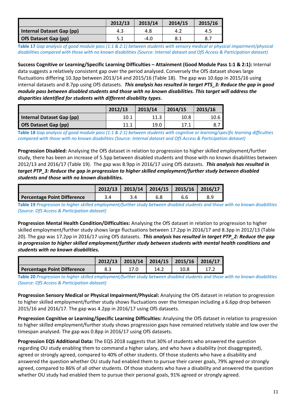|                             | 2012/13 | 2013/14 | 2014/15 | 2015/16 |
|-----------------------------|---------|---------|---------|---------|
| Internal Dataset Gap (pp)   | 4.3     | 4.8     | 4.2     | 4.5     |
| <b>OfS Dataset Gap (pp)</b> |         | $-4.0$  | د.8     |         |

**Table 17** *Gap analysis of good module pass (1:1 & 2:1) between students with sensory medical or physical impairment/physical disabilities compared with those with no known disabilities (Source: Internal dataset and OfS Access & Participation dataset)* 

**Success Cognitive or Learning/Specific Learning Difficulties – Attainment (Good Module Pass 1:1 & 2:1):** Internal data suggests a relatively consistent gap over the period analysed. Conversely the OfS dataset shows large fluctuations differing 10.3pp between 2013/14 and 2015/16 (Table 18). The gap was 10.6pp in 2015/16 using internal datasets and 8.7pp using OfS datasets. *This analysis has resulted in target PTS\_3: Reduce the gap in good module pass between disabled students and those with no known disabilities. This target will address the disparities identified for students with different disability types.*

|                           | 2012/13 | 2013/14 | 2014/15 | 2015/16   |
|---------------------------|---------|---------|---------|-----------|
| Internal Dataset Gap (pp) | 10.1    | 11.3    | 10.8    | $10.6 \,$ |
| OfS Dataset Gap (pp)      | 11.1    | 19.0    | 17.1    |           |

**Table 18** *Gap analysis of good module pass (1:1 & 2:1) between students with cognitive or learning/specific learning difficulties compared with those with no known disabilities (Source: Internal dataset and OfS Access & Participation dataset)* 

**Progression Disabled:** Analysing the OfS dataset in relation to progression to higher skilled employment/further study, there has been an increase of 5.5pp between disabled students and those with no known disabilities between 2012/13 and 2016/17 (Table 19). The gap was 8.9pp in 2016/17 using OfS datasets. *This analysis has resulted in target PTP\_3: Reduce the gap in progression to higher skilled employment/further study between disabled students and those with no known disabilities.*

|                                    | $2012/13$   2013/14   2014/15   2015/16   2016/17 |  |  |
|------------------------------------|---------------------------------------------------|--|--|
| <b>Percentage Point Difference</b> |                                                   |  |  |

**Table 19** *Progression to higher skilled employment/further study between disabled students and those with no known disabilities (Source: OfS Access & Participation dataset)*

**Progression Mental Health Condition/Difficulties:** Analysing the OfS dataset in relation to progression to higher skilled employment/further study shows large fluctuations between 17.2pp in 2016/17 and 8.3pp in 2012/13 (Table 20). The gap was 17.2pp in 2016/17 using OfS datasets. *This analysis has resulted in target PTP\_2: Reduce the gap in progression to higher skilled employment/further study between students with mental health conditions and students with no known disabilities.*

|                             |     | $2012/13$   2013/14   2014/15   2015/16   2016/17 |      |      |  |
|-----------------------------|-----|---------------------------------------------------|------|------|--|
| Percentage Point Difference | 8.3 |                                                   | 14.2 | 10.8 |  |

**Table 20** *Progression to higher skilled employment/further study between disabled students and those with no known disabilities (Source: OfS Access & Participation dataset)*

**Progression Sensory Medical or Physical Impairment/Physical:** Analysing the OfS dataset in relation to progression to higher skilled employment/further study shows fluctuations over the timespan including a 6.6pp drop between 2015/16 and 2016/17. The gap was 4.2pp in 2016/17 using OfS datasets.

**Progression Cognitive or Learning/Specific Learning Difficulties:** Analysing the OfS dataset in relation to progression to higher skilled employment/further study shows progression gaps have remained relatively stable and low over the timespan analysed. The gap was 0.8pp in 2016/17 using OfS datasets.

**Progression EQS Additional Data:** The EQS 2018 suggests that 30% of students who answered the question regarding OU study enabling them to command a higher salary, and who have a disability (not disaggregated), agreed or strongly agreed, compared to 40% of other students. Of those students who have a disability and answered the question whether OU study had enabled them to pursue their career goals, 79% agreed or strongly agreed, compared to 86% of all other students. Of those students who have a disability and answered the question whether OU study had enabled them to pursue their personal goals, 91% agreed or strongly agreed.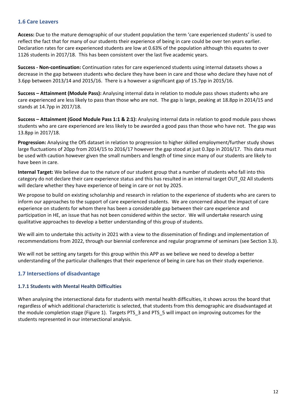#### <span id="page-11-1"></span>**1.6 Care Leavers**

**Access:** Due to the mature demographic of our student population the term 'care experienced students' is used to reflect the fact that for many of our students their experience of being in care could be over ten years earlier. Declaration rates for care experienced students are low at 0.63% of the population although this equates to over 1126 students in 2017/18. This has been consistent over the last five academic years.

**Success - Non-continuation:** Continuation rates for care experienced students using internal datasets shows a decrease in the gap between students who declare they have been in care and those who declare they have not of 3.6pp between 2013/14 and 2015/16. There is a however a significant gap of 15.7pp in 2015/16.

**Success – Attainment (Module Pass):** Analysing internal data in relation to module pass shows students who are care experienced are less likely to pass than those who are not. The gap is large, peaking at 18.8pp in 2014/15 and stands at 14.7pp in 2017/18.

**Success – Attainment (Good Module Pass 1:1 & 2:1):** Analysing internal data in relation to good module pass shows students who are care experienced are less likely to be awarded a good pass than those who have not. The gap was 13.8pp in 2017/18.

**Progression:** Analysing the OfS dataset in relation to progression to higher skilled employment/further study shows large fluctuations of 20pp from 2014/15 to 2016/17 however the gap stood at just 0.3pp in 2016/17. This data must be used with caution however given the small numbers and length of time since many of our students are likely to have been in care.

**Internal Target:** We believe due to the nature of our student group that a number of students who fall into this category do not declare their care experience status and this has resulted in an internal target OUT\_02 All students will declare whether they have experience of being in care or not by 2025.

We propose to build on existing scholarship and research in relation to the experience of students who are carers to inform our approaches to the support of care experienced students. We are concerned about the impact of care experience on students for whom there has been a considerable gap between their care experience and participation in HE, an issue that has not been considered within the sector. We will undertake research using qualitative approaches to develop a better understanding of this group of students.

We will aim to undertake this activity in 2021 with a view to the dissemination of findings and implementation of recommendations from 2022, through our biennial conference and regular programme of seminars (see Section 3.3).

We will not be setting any targets for this group within this APP as we believe we need to develop a better understanding of the particular challenges that their experience of being in care has on their study experience.

#### <span id="page-11-0"></span>**1.7 Intersections of disadvantage**

#### **1.7.1 Students with Mental Health Difficulties**

When analysing the intersectional data for students with mental health difficulties, it shows across the board that regardless of which additional characteristic is selected, that students from this demographic are disadvantaged at the module completion stage (Figure 1). Targets PTS 3 and PTS 5 will impact on improving outcomes for the students represented in our intersectional analysis.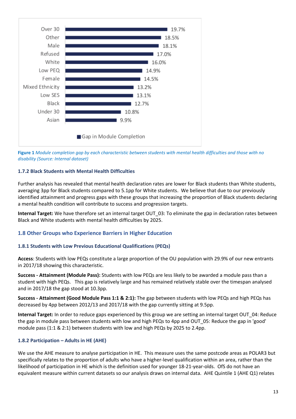

**Figure 1** *Module completion gap by each characteristic between students with mental health difficulties and those with no disability (Source: Internal dataset)*

#### **1.7.2 Black Students with Mental Health Difficulties**

Further analysis has revealed that mental health declaration rates are lower for Black students than White students, averaging 3pp for Black students compared to 5.1pp for White students. We believe that due to our previously identified attainment and progress gaps with these groups that increasing the proportion of Black students declaring a mental health condition will contribute to success and progression targets.

**Internal Target:** We have therefore set an internal target OUT 03: To eliminate the gap in declaration rates between Black and White students with mental health difficulties by 2025.

#### <span id="page-12-0"></span>**1.8 Other Groups who Experience Barriers in Higher Education**

#### **1.8.1 Students with Low Previous Educational Qualifications (PEQs)**

**Access**: Students with low PEQs constitute a large proportion of the OU population with 29.9% of our new entrants in 2017/18 showing this characteristic.

**Success - Attainment (Module Pass):** Students with low PEQs are less likely to be awarded a module pass than a student with high PEQs. This gap is relatively large and has remained relatively stable over the timespan analysed and in 2017/18 the gap stood at 10.3pp.

**Success - Attainment (Good Module Pass 1:1 & 2:1):** The gap between students with low PEQs and high PEQs has decreased by 4pp between 2012/13 and 2017/18 with the gap currently sitting at 9.5pp.

**Internal Target:** In order to reduce gaps experienced by this group we are setting an internal target OUT\_04: Reduce the gap in module pass between students with low and high PEQs to 4pp and OUT\_05: Reduce the gap in 'good' module pass (1:1 & 2:1) between students with low and high PEQs by 2025 to 2.4pp.

#### **1.8.2 Participation – Adults in HE (AHE)**

We use the AHE measure to analyse participation in HE. This measure uses the same postcode areas as POLAR3 but specifically relates to the proportion of adults who have a higher-level qualification within an area, rather than the likelihood of participation in HE which is the definition used for younger 18-21-year-olds. OfS do not have an equivalent measure within current datasets so our analysis draws on internal data. AHE Quintile 1 (AHE Q1) relates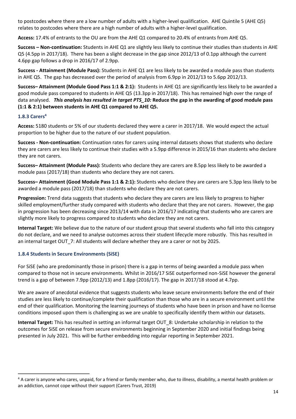to postcodes where there are a low number of adults with a higher-level qualification. AHE Quintile 5 (AHE Q5) relates to postcodes where there are a high number of adults with a higher-level qualification.

**Access:** 17.4% of entrants to the OU are from the AHE Q1 compared to 20.4% of entrants from AHE Q5.

**Success – Non-continuation:** Students in AHE Q1 are slightly less likely to continue their studies than students in AHE Q5 (4.5pp in 2017/18). There has been a slight decrease in the gap since 2012/13 of 0.1pp although the current 4.6pp gap follows a drop in 2016/17 of 2.9pp.

**Success - Attainment (Module Pass):** Students in AHE Q1 are less likely to be awarded a module pass than students in AHE Q5. The gap has decreased over the period of analysis from 6.9pp in 2012/13 to 5.6pp 2012/13.

**Success– Attainment (Module Good Pass 1:1 & 2:1):** Students in AHE Q1 are significantly less likely to be awarded a good module pass compared to students in AHE Q5 (13.3pp in 2017/18). This has remained high over the range of data analysed. *This analysis has resulted in target PTS\_10:* **Reduce the gap in the awarding of good module pass (1:1 & 2:1) between students in AHE Q1 compared to AHE Q5.**

#### **1.8.3 Carers4**

**Access:** 5180 students or 5% of our students declared they were a carer in 2017/18. We would expect the actual proportion to be higher due to the nature of our student population.

**Success - Non-continuation:** Continuation rates for carers using internal datasets shows that students who declare they are carers are less likely to continue their studies with a 5.9pp difference in 2015/16 than students who declare they are not carers.

**Success– Attainment (Module Pass):** Students who declare they are carers are 8.5pp less likely to be awarded a module pass (2017/18) than students who declare they are not carers.

**Success– Attainment (Good Module Pass 1:1 & 2:1):** Students who declare they are carers are 5.3pp less likely to be awarded a module pass (2017/18) than students who declare they are not carers.

**Progression:** Trend data suggests that students who declare they are carers are less likely to progress to higher skilled employment/further study compared with students who declare that they are not carers. However, the gap in progression has been decreasing since 2013/14 with data in 2016/17 indicating that students who are carers are slightly more likely to progress compared to students who declare they are not carers.

**Internal Target:** We believe due to the nature of our student group that several students who fall into this category do not declare, and we need to analyse outcomes across their student lifecycle more robustly. This has resulted in an internal target OUT\_7: All students will declare whether they are a carer or not by 2025.

#### **1.8.4 Students in Secure Environments (SiSE)**

For SiSE (who are predominantly those in prison) there is a gap in terms of being awarded a module pass when compared to those not in secure environments. Whilst in 2016/17 SiSE outperformed non-SiSE however the general trend is a gap of between 7.9pp (2012/13) and 1.8pp (2016/17). The gap in 2017/18 stood at 4.7pp.

We are aware of anecdotal evidence that suggests students who leave secure environments before the end of their studies are less likely to continue/complete their qualification than those who are in a secure environment until the end of their qualification. Monitoring the learning journeys of students who have been in prison and have no license conditions imposed upon them is challenging as we are unable to specifically identify them within our datasets.

**Internal Target:** This has resulted in setting an informal target OUT\_8: Undertake scholarship in relation to the outcomes for SiSE on release from secure environments beginning in September 2020 and initial findings being presented in July 2021. This will be further embedding into regular reporting in September 2021.

<sup>&</sup>lt;sup>4</sup> A carer is anyone who cares, unpaid, for a friend or family member who, due to illness, disability, a mental health problem or an addiction, cannot cope without their support (Carers Trust, 2019)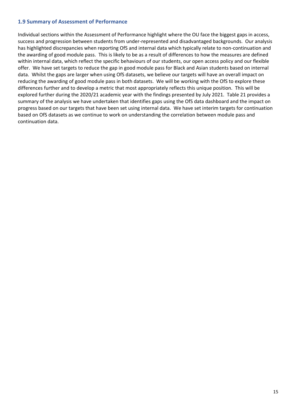#### <span id="page-14-0"></span>**1.9 Summary of Assessment of Performance**

Individual sections within the Assessment of Performance highlight where the OU face the biggest gaps in access, success and progression between students from under-represented and disadvantaged backgrounds. Our analysis has highlighted discrepancies when reporting OfS and internal data which typically relate to non-continuation and the awarding of good module pass. This is likely to be as a result of differences to how the measures are defined within internal data, which reflect the specific behaviours of our students, our open access policy and our flexible offer. We have set targets to reduce the gap in good module pass for Black and Asian students based on internal data. Whilst the gaps are larger when using OfS datasets, we believe our targets will have an overall impact on reducing the awarding of good module pass in both datasets. We will be working with the OfS to explore these differences further and to develop a metric that most appropriately reflects this unique position. This will be explored further during the 2020/21 academic year with the findings presented by July 2021. Table 21 provides a summary of the analysis we have undertaken that identifies gaps using the OfS data dashboard and the impact on progress based on our targets that have been set using internal data. We have set interim targets for continuation based on OfS datasets as we continue to work on understanding the correlation between module pass and continuation data.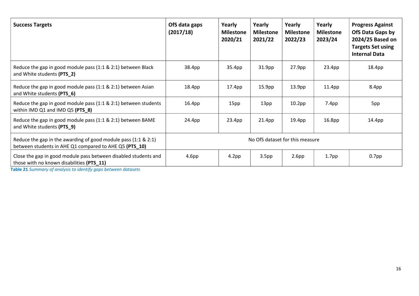| <b>Success Targets</b>                                                                                                      | OfS data gaps<br>(2017/18)      | Yearly<br><b>Milestone</b><br>2020/21 | Yearly<br><b>Milestone</b><br>2021/22 | Yearly<br><b>Milestone</b><br>2022/23 | Yearly<br><b>Milestone</b><br>2023/24 | <b>Progress Against</b><br>OfS Data Gaps by<br>2024/25 Based on<br><b>Targets Set using</b><br><b>Internal Data</b> |
|-----------------------------------------------------------------------------------------------------------------------------|---------------------------------|---------------------------------------|---------------------------------------|---------------------------------------|---------------------------------------|---------------------------------------------------------------------------------------------------------------------|
| Reduce the gap in good module pass (1:1 & 2:1) between Black<br>and White students (PTS_2)                                  | 38.4pp                          | 35.4pp                                | 31.9pp                                | 27.9pp                                | 23.4pp                                | 18.4pp                                                                                                              |
| Reduce the gap in good module pass (1:1 & 2:1) between Asian<br>and White students (PTS 6)                                  | 18.4pp                          | 17.4pp                                | 15.9 <sub>pp</sub>                    | 13.9 <sub>pp</sub>                    | 11.4 <sub>pp</sub>                    | 8.4pp                                                                                                               |
| Reduce the gap in good module pass (1:1 & 2:1) between students<br>within IMD $Q1$ and IMD $Q5$ (PTS $8$ )                  | 16.4pp                          | 15pp                                  | 13pp                                  | 10.2 <sub>pp</sub>                    | 7.4 <sub>pp</sub>                     | 5pp                                                                                                                 |
| Reduce the gap in good module pass (1:1 & 2:1) between BAME<br>and White students (PTS_9)                                   | 24.4pp                          | 23.4pp                                | 21.4 <sub>pp</sub>                    | 19.4pp                                | 16.8pp                                | 14.4pp                                                                                                              |
| Reduce the gap in the awarding of good module pass $(1:1 \& 2:1)$<br>between students in AHE Q1 compared to AHE Q5 (PTS_10) | No OfS dataset for this measure |                                       |                                       |                                       |                                       |                                                                                                                     |
| Close the gap in good module pass between disabled students and<br>those with no known disabilities (PTS_11)                | 4.6 <sub>pp</sub>               | 4.2 <sub>pp</sub>                     | 3.5 <sub>pp</sub>                     | 2.6 <sub>pp</sub>                     | 1.7 <sub>pp</sub>                     | $0.7$ pp                                                                                                            |

**Table 21** *Summary of analysis to identify gaps between datasets*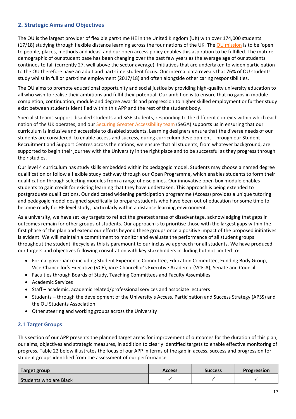#### <span id="page-16-1"></span>**2. Strategic Aims and Objectives**

The OU is the largest provider of flexible part-time HE in the United Kingdom (UK) with over 174,000 students  $(17/18)$  studying through flexible distance learning across the four nations of the UK. The [OU mission](http://www.open.ac.uk/about/main/strategy-and-policies/mission) is to be 'open to people, places, methods and ideas' and our open access policy enables this aspiration to be fulfilled. The mature demographic of our student base has been changing over the past few years as the average age of our students continues to fall (currently 27, well above the sector average). Initiatives that are undertaken to widen participation to the OU therefore have an adult and part-time student focus. Our internal data reveals that 76% of OU students study whilst in full or part-time employment (2017/18) and often alongside other caring responsibilities.

The OU aims to promote educational opportunity and social justice by providing high-quality university education to all who wish to realise their ambitions and fulfil their potential. Our ambition is to ensure that no gaps in module completion, continuation, module and degree awards and progression to higher skilled employment or further study exist between students identified within this APP and the rest of the student body.

Specialist teams support disabled students and SiSE students, responding to the different contexts within which each nation of the UK operates, and our Securing Greater [Accessibility](https://learn3.open.ac.uk/course/view.php?name=ACCESSIBILITY) team (SeGA) supports us in ensuring that our curriculum is inclusive and accessible to disabled students. Learning designers ensure that the diverse needs of our students are considered, to enable access and success, during curriculum development. Through our Student Recruitment and Support Centres across the nations, we ensure that all students, from whatever background, are supported to begin their journey with the University in the right place and to be successful as they progress through their studies.

Our level 4 curriculum has study skills embedded within its pedagogic model. Students may choose a named degree qualification or follow a flexible study pathway through our Open Programme, which enables students to form their qualification through selecting modules from a range of disciplines. Our innovative open box module enables students to gain credit for existing learning that they have undertaken. This approach is being extended to postgraduate qualifications. Our dedicated widening participation programme (Access) provides a unique tutoring and pedagogic model designed specifically to prepare students who have been out of education for some time to become ready for HE level study, particularly within a distance learning environment.

As a university, we have set key targets to reflect the greatest areas of disadvantage, acknowledging that gaps in outcomes remain for other groups of students. Our approach is to prioritise those with the largest gaps within the first phase of the plan and extend our efforts beyond these groups once a positive impact of the proposed initiatives is evident. We will maintain a commitment to monitor and evaluate the performance of all student groups throughout the student lifecycle as this is paramount to our inclusive approach for all students. We have produced our targets and objectives following consultation with key stakeholders including but not limited to:

- Formal governance including Student Experience Committee, Education Committee, Funding Body Group, Vice-Chancellor's Executive (VCE), Vice-Chancellor's Executive Academic (VCE-A), Senate and Council
- Faculties through Boards of Study, Teaching Committees and Faculty Assemblies
- Academic Services
- Staff academic, academic related/professional services and associate lecturers
- Students through the development of the University's Access, Participation and Success Strategy (APSS) and the OU Students Association
- Other steering and working groups across the University

#### <span id="page-16-0"></span>**2.1 Target Groups**

This section of our APP presents the planned target areas for improvement of outcomes for the duration of this plan, our aims, objectives and strategic measures, in addition to clearly identified targets to enable effective monitoring of progress. Table 22 below illustrates the focus of our APP in terms of the gap in access, success and progression for student groups identified from the assessment of our performance.

| Target group           | <b>Access</b> | <b>Success</b> | <b>Progression</b> |
|------------------------|---------------|----------------|--------------------|
| Students who are Black |               |                |                    |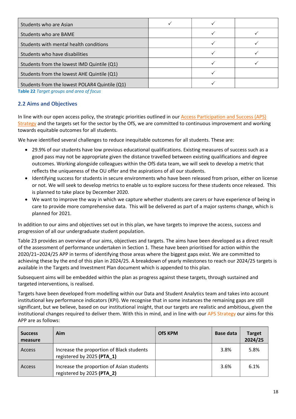| Students who are Asian                        |  |  |
|-----------------------------------------------|--|--|
| Students who are BAME                         |  |  |
| Students with mental health conditions        |  |  |
| Students who have disabilities                |  |  |
| Students from the lowest IMD Quintile (Q1)    |  |  |
| Students from the lowest AHE Quintile (Q1)    |  |  |
| Students from the lowest POLAR4 Quintile (Q1) |  |  |

**Table 22** *Target groups and area of focus*

#### <span id="page-17-0"></span>**2.2 Aims and Objectives**

In line with our open access policy, the strategic priorities outlined in our [Access Participation and Success \(APS\)](http://www.open.ac.uk/about/wideningparticipation/sites/www.open.ac.uk.about.wideningparticipation/files/files/APS%20Strategy.pdf)  [Strategy](http://www.open.ac.uk/about/wideningparticipation/sites/www.open.ac.uk.about.wideningparticipation/files/files/APS%20Strategy.pdf) and the targets set for the sector by the OfS, we are committed to continuous improvement and working towards equitable outcomes for all students.

We have identified several challenges to reduce inequitable outcomes for all students. These are:

- 29.9% of our students have low previous educational qualifications. Existing measures of success such as a good pass may not be appropriate given the distance travelled between existing qualifications and degree outcomes. Working alongside colleagues within the OfS data team, we will seek to develop a metric that reflects the uniqueness of the OU offer and the aspirations of all our students.
- Identifying success for students in secure environments who have been released from prison, either on license or not. We will seek to develop metrics to enable us to explore success for these students once released. This is planned to take place by December 2020.
- We want to improve the way in which we capture whether students are carers or have experience of being in care to provide more comprehensive data. This will be delivered as part of a major systems change, which is planned for 2021.

In addition to our aims and objectives set out in this plan, we have targets to improve the access, success and progression of all our undergraduate student population.

Table 23 provides an overview of our aims, objectives and targets. The aims have been developed as a direct result of the assessment of performance undertaken in Section 1. These have been prioritised for action within the 2020/21–2024/25 APP in terms of identifying those areas where the biggest gaps exist. We are committed to achieving these by the end of this plan in 2024/25. A breakdown of yearly milestones to reach our 2024/25 targets is available in the Targets and Investment Plan document which is appended to this plan.

Subsequent aims will be embedded within the plan as progress against these targets, through sustained and targeted interventions, is realised.

Targets have been developed from modelling within our Data and Student Analytics team and takes into account institutional key performance indicators (KPI). We recognise that in some instances the remaining gaps are still significant, but we believe, based on our institutional insight, that our targets are realistic and ambitious, given the institutional changes required to deliver them. With this in mind, and in line with our APS Strategy our aims for this APP are as follows:

| <b>Success</b><br>measure | Aim                                                                     | <b>OfS KPM</b> | <b>Base data</b> | <b>Target</b><br>2024/25 |
|---------------------------|-------------------------------------------------------------------------|----------------|------------------|--------------------------|
| Access                    | Increase the proportion of Black students<br>registered by 2025 (PTA_1) |                | 3.8%             | 5.8%                     |
| Access                    | Increase the proportion of Asian students<br>registered by 2025 (PTA_2) |                | 3.6%             | 6.1%                     |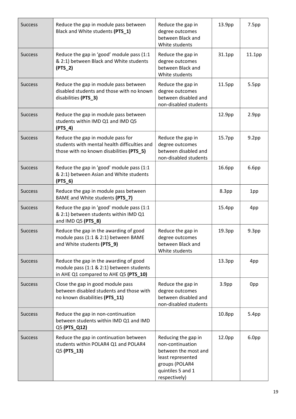| <b>Success</b> | Reduce the gap in module pass between<br>Reduce the gap in<br>Black and White students (PTS_1)<br>degree outcomes<br>between Black and<br>White students |                                                                                                                                              | 13.9pp            | 7.5 <sub>pp</sub>  |
|----------------|----------------------------------------------------------------------------------------------------------------------------------------------------------|----------------------------------------------------------------------------------------------------------------------------------------------|-------------------|--------------------|
| <b>Success</b> | Reduce the gap in 'good' module pass (1:1<br>& 2:1) between Black and White students<br>$(PTS_2)$                                                        | Reduce the gap in<br>degree outcomes<br>between Black and<br>White students                                                                  | 31.1pp            | 11.1 <sub>pp</sub> |
| <b>Success</b> | Reduce the gap in module pass between<br>disabled students and those with no known<br>disabilities (PTS_3)                                               | Reduce the gap in<br>degree outcomes<br>between disabled and<br>non-disabled students                                                        | 11.5pp            | 5.5pp              |
| <b>Success</b> | Reduce the gap in module pass between<br>students within IMD Q1 and IMD Q5<br>$(PTS_4)$                                                                  |                                                                                                                                              | 12.9pp            | 2.9 <sub>pp</sub>  |
| <b>Success</b> | Reduce the gap in module pass for<br>students with mental health difficulties and<br>those with no known disabilities (PTS_5)                            | Reduce the gap in<br>degree outcomes<br>between disabled and<br>non-disabled students                                                        | 15.7pp            | 9.2 <sub>pp</sub>  |
| <b>Success</b> | Reduce the gap in 'good' module pass (1:1<br>& 2:1) between Asian and White students<br>$(PTS_6)$                                                        |                                                                                                                                              | 16.6pp            | 6.6 <sub>pp</sub>  |
| <b>Success</b> | Reduce the gap in module pass between<br>BAME and White students (PTS_7)                                                                                 |                                                                                                                                              | 8.3pp             | 1pp                |
| <b>Success</b> | Reduce the gap in 'good' module pass (1:1<br>& 2:1) between students within IMD Q1<br>and IMD Q5 (PTS_8)                                                 |                                                                                                                                              | 15.4pp            | 4pp                |
| <b>Success</b> | Reduce the gap in the awarding of good<br>module pass (1:1 & 2:1) between BAME<br>and White students (PTS_9)                                             | Reduce the gap in<br>degree outcomes<br>between Black and<br>White students                                                                  | 19.3pp            | 9.3 <sub>pp</sub>  |
| <b>Success</b> | Reduce the gap in the awarding of good<br>module pass (1:1 & 2:1) between students<br>in AHE Q1 compared to AHE Q5 (PTS_10)                              |                                                                                                                                              | 13.3pp            | 4pp                |
| <b>Success</b> | Close the gap in good module pass<br>between disabled students and those with<br>no known disabilities (PTS_11)                                          | Reduce the gap in<br>degree outcomes<br>between disabled and<br>non-disabled students                                                        | 3.9 <sub>pp</sub> | 0pp                |
| <b>Success</b> | Reduce the gap in non-continuation<br>between students within IMD Q1 and IMD<br>Q5 (PTS_Q12)                                                             |                                                                                                                                              | 10.8pp            | 5.4 <sub>pp</sub>  |
| <b>Success</b> | Reduce the gap in continuation between<br>students within POLAR4 Q1 and POLAR4<br>Q5 (PTS_13)                                                            | Reducing the gap in<br>non-continuation<br>between the most and<br>least represented<br>groups (POLAR4<br>quintiles 5 and 1<br>respectively) | 12.0pp            | 6.0pp              |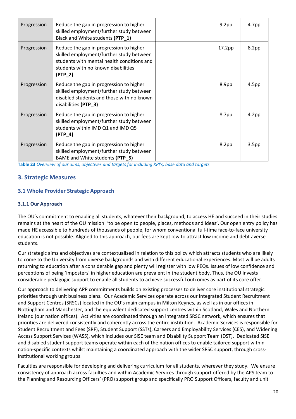| Progression | Reduce the gap in progression to higher<br>skilled employment/further study between<br>Black and White students (PTP_1)                                                               | 9.2 <sub>pp</sub>  | 4.7 <sub>pp</sub> |
|-------------|---------------------------------------------------------------------------------------------------------------------------------------------------------------------------------------|--------------------|-------------------|
| Progression | Reduce the gap in progression to higher<br>skilled employment/further study between<br>students with mental health conditions and<br>students with no known disabilities<br>$(PTP_2)$ | 17.2 <sub>pp</sub> | 8.2pp             |
| Progression | Reduce the gap in progression to higher<br>skilled employment/further study between<br>disabled students and those with no known<br>disabilities (PTP_3)                              | 8.9pp              | 4.5 <sub>pp</sub> |
| Progression | Reduce the gap in progression to higher<br>skilled employment/further study between<br>students within IMD Q1 and IMD Q5<br>$(PTP_4)$                                                 | 8.7pp              | 4.2 <sub>pp</sub> |
| Progression | Reduce the gap in progression to higher<br>skilled employment/further study between<br>BAME and White students (PTP_5)                                                                | 8.2 <sub>pp</sub>  | 3.5 <sub>pp</sub> |

**Table 23** *Overview of our aims, objectives and targets for including KPI's, base data and targets*

#### <span id="page-19-1"></span>**3. Strategic Measures**

#### <span id="page-19-0"></span>**3.1 Whole Provider Strategic Approach**

#### **3.1.1 Our Approach**

The OU's commitment to enabling all students, whatever their background, to access HE and succeed in their studies remains at the heart of the OU mission: 'to be open to people, places, methods and ideas'. Our open entry policy has made HE accessible to hundreds of thousands of people, for whom conventional full-time face-to-face university education is not possible. Aligned to this approach, our fees are kept low to attract low income and debt averse students.

Our strategic aims and objectives are contextualised in relation to this policy which attracts students who are likely to come to the University from diverse backgrounds and with different educational experiences. Most will be adults returning to education after a considerable gap and plenty will register with low PEQs. Issues of low confidence and perceptions of being 'imposters' in higher education are prevalent in the student body. Thus, the OU invests considerable pedagogic support to enable all students to achieve successful outcomes as part of its core offer.

Our approach to delivering APP commitments builds on existing processes to deliver core institutional strategic priorities through unit business plans. Our Academic Services operate across our integrated Student Recruitment and Support Centres (SRSCs) located in the OU's main campus in Milton Keynes, as well as in our offices in Nottingham and Manchester, and the equivalent dedicated support centres within Scotland, Wales and Northern Ireland (our nation offices). Activities are coordinated through an integrated SRSC network, which ensures that priorities are delivered consistently and coherently across the entire institution. Academic Services is responsible for Student Recruitment and Fees (SRF), Student Support (SSTs), Careers and Employability Services (CES), and Widening Access Support Services (WASS), which includes our SiSE team and Disability Support Team (DST). Dedicated SiSE and disabled student support teams operate within each of the nation offices to enable tailored support within nation-specific contexts whilst maintaining a coordinated approach with the wider SRSC support, through crossinstitutional working groups.

Faculties are responsible for developing and delivering curriculum for all students, wherever they study. We ensure consistency of approach across faculties and within Academic Services through support offered by the APS team to the Planning and Resourcing Officers' (PRO) support group and specifically PRO Support Officers, faculty and unit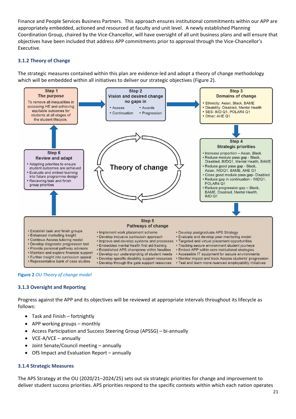Finance and People Services Business Partners. This approach ensures institutional commitments within our APP are appropriately embedded, actioned and resourced at faculty and unit level. A newly established Planning Coordination Group, chaired by the Vice-Chancellor, will have oversight of all unit business plans and will ensure that objectives have been included that address APP commitments prior to approval through the Vice-Chancellor's Executive.

#### **3.1.2 Theory of Change**

The strategic measures contained within this plan are evidence-led and adopt a theory of change methodology which will be embedded within all initiatives to deliver our strategic objectives (Figure 2).





#### **3.1.3 Oversight and Reporting**

Progress against the APP and its objectives will be reviewed at appropriate intervals throughout its lifecycle as follows:

- Task and Finish fortnightly
- APP working groups monthly
- Access Participation and Success Steering Group (APSSG) bi-annually
- VCE-A/VCE annually
- Joint Senate/Council meeting annually
- OfS Impact and Evaluation Report annually

#### **3.1.4 Strategic Measures**

The APS Strategy at the OU (2020/21–2024/25) sets out six strategic priorities for change and improvement to deliver student success priorities. APS priorities respond to the specific contexts within which each nation operates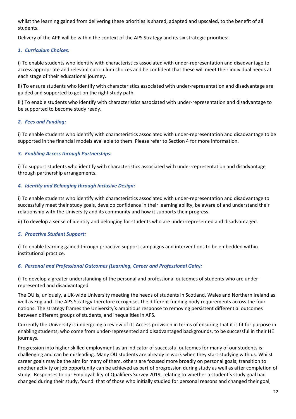whilst the learning gained from delivering these priorities is shared, adapted and upscaled, to the benefit of all students.

Delivery of the APP will be within the context of the APS Strategy and its six strategic priorities:

#### *1. Curriculum Choices:*

i) To enable students who identify with characteristics associated with under-representation and disadvantage to access appropriate and relevant curriculum choices and be confident that these will meet their individual needs at each stage of their educational journey.

ii) To ensure students who identify with characteristics associated with under-representation and disadvantage are guided and supported to get on the right study path.

iii) To enable students who identify with characteristics associated with under-representation and disadvantage to be supported to become study ready.

#### *2. Fees and Funding:*

i) To enable students who identify with characteristics associated with under-representation and disadvantage to be supported in the financial models available to them. Please refer to Section 4 for more information.

#### *3. Enabling Access through Partnerships:*

i) To support students who identify with characteristics associated with under-representation and disadvantage through partnership arrangements.

#### *4. Identity and Belonging through Inclusive Design:*

i) To enable students who identify with characteristics associated with under-representation and disadvantage to successfully meet their study goals, develop confidence in their learning ability, be aware of and understand their relationship with the University and its community and how it supports their progress.

ii) To develop a sense of identity and belonging for students who are under-represented and disadvantaged.

#### *5. Proactive Student Support:*

i) To enable learning gained through proactive support campaigns and interventions to be embedded within institutional practice.

#### *6. Personal and Professional Outcomes (Learning, Career and Professional Gain):*

i) To develop a greater understanding of the personal and professional outcomes of students who are underrepresented and disadvantaged.

The OU is, uniquely, a UK-wide University meeting the needs of students in Scotland, Wales and Northern Ireland as well as England. The APS Strategy therefore recognises the different funding body requirements across the four nations. The strategy frames the University's ambitious response to removing persistent differential outcomes between different groups of students, and inequalities in APS.

Currently the University is undergoing a review of its Access provision in terms of ensuring that it is fit for purpose in enabling students, who come from under-represented and disadvantaged backgrounds, to be successful in their HE journeys.

Progression into higher skilled employment as an indicator of successful outcomes for many of our students is challenging and can be misleading. Many OU students are already in work when they start studying with us. Whilst career goals may be the aim for many of them, others are focused more broadly on personal goals; transition to another activity or job opportunity can be achieved as part of progression during study as well as after completion of study. Responses to our Employability of Qualifiers Survey 2019, relating to whether a student's study goal had changed during their study, found that of those who initially studied for personal reasons and changed their goal,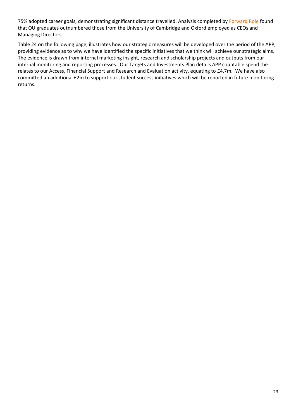75% adopted career goals, demonstrating significant distance travelled. Analysis completed by [Forward Role](https://www.forwardrole.com/blog/2019/10/which-universities-produce-most-ceos) found that OU graduates outnumbered those from the University of Cambridge and Oxford employed as CEOs and Managing Directors.

Table 24 on the following page, illustrates how our strategic measures will be developed over the period of the APP, providing evidence as to why we have identified the specific initiatives that we think will achieve our strategic aims. The evidence is drawn from internal marketing insight, research and scholarship projects and outputs from our internal monitoring and reporting processes. Our Targets and Investments Plan details APP countable spend the relates to our Access, Financial Support and Research and Evaluation activity, equating to £4.7m. We have also committed an additional £2m to support our student success initiatives which will be reported in future monitoring returns.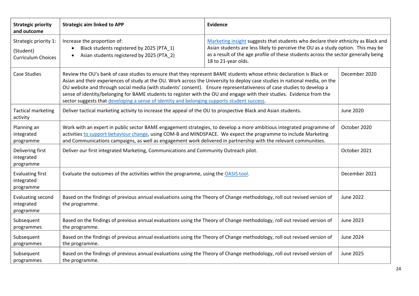| <b>Strategic priority</b><br>and outcome                        | <b>Strategic aim linked to APP</b>                                                                                                                                                                                                                                                                                                                                                                                                                                                                                                                                                                                     | <b>Evidence</b>                                                                                                                                                                                                                                                                    |                  |
|-----------------------------------------------------------------|------------------------------------------------------------------------------------------------------------------------------------------------------------------------------------------------------------------------------------------------------------------------------------------------------------------------------------------------------------------------------------------------------------------------------------------------------------------------------------------------------------------------------------------------------------------------------------------------------------------------|------------------------------------------------------------------------------------------------------------------------------------------------------------------------------------------------------------------------------------------------------------------------------------|------------------|
| Strategic priority 1:<br>(Student)<br><b>Curriculum Choices</b> | Increase the proportion of:<br>Black students registered by 2025 (PTA_1)<br>Asian students registered by 2025 (PTA_2)                                                                                                                                                                                                                                                                                                                                                                                                                                                                                                  | Marketing insight suggests that students who declare their ethnicity as Black and<br>Asian students are less likely to perceive the OU as a study option. This may be<br>as a result of the age profile of these students across the sector generally being<br>18 to 21-year olds. |                  |
| <b>Case Studies</b>                                             | Review the OU's bank of case studies to ensure that they represent BAME students whose ethnic declaration is Black or<br>December 2020<br>Asian and their experiences of study at the OU. Work across the University to deploy case studies in national media, on the<br>OU website and through social media (with students' consent). Ensure representativeness of case studies to develop a<br>sense of identity/belonging for BAME students to register with the OU and engage with their studies. Evidence from the<br>sector suggests that developing a sense of identity and belonging supports student success. |                                                                                                                                                                                                                                                                                    |                  |
| <b>Tactical marketing</b><br>activity                           | Deliver tactical marketing activity to increase the appeal of the OU to prospective Black and Asian students.                                                                                                                                                                                                                                                                                                                                                                                                                                                                                                          |                                                                                                                                                                                                                                                                                    | <b>June 2020</b> |
| Planning an<br>integrated<br>programme                          | Work with an expert in public sector BAME engagement strategies, to develop a more ambitious integrated programme of<br>activities to support behaviour change, using COM-B and MINDSPACE. We expect the programme to include Marketing<br>and Communications campaigns, as well as engagement work delivered in partnership with the relevant communities.                                                                                                                                                                                                                                                            |                                                                                                                                                                                                                                                                                    | October 2020     |
| Delivering first<br>integrated<br>programme                     | Deliver our first integrated Marketing, Communications and Community Outreach pilot.                                                                                                                                                                                                                                                                                                                                                                                                                                                                                                                                   |                                                                                                                                                                                                                                                                                    | October 2021     |
| <b>Evaluating first</b><br>integrated<br>programme              | Evaluate the outcomes of the activities within the programme, using the OASIS tool.                                                                                                                                                                                                                                                                                                                                                                                                                                                                                                                                    |                                                                                                                                                                                                                                                                                    | December 2021    |
| Evaluating second<br>integrated<br>programme                    | Based on the findings of previous annual evaluations using the Theory of Change methodology, roll out revised version of<br>the programme.                                                                                                                                                                                                                                                                                                                                                                                                                                                                             |                                                                                                                                                                                                                                                                                    | <b>June 2022</b> |
| Subsequent<br>programmes                                        | Based on the findings of previous annual evaluations using the Theory of Change methodology, roll out revised version of<br>the programme.                                                                                                                                                                                                                                                                                                                                                                                                                                                                             |                                                                                                                                                                                                                                                                                    | <b>June 2023</b> |
| Subsequent<br>programmes                                        | Based on the findings of previous annual evaluations using the Theory of Change methodology, roll out revised version of<br>the programme.                                                                                                                                                                                                                                                                                                                                                                                                                                                                             |                                                                                                                                                                                                                                                                                    | <b>June 2024</b> |
| Subsequent<br>programmes                                        | Based on the findings of previous annual evaluations using the Theory of Change methodology, roll out revised version of<br>the programme.                                                                                                                                                                                                                                                                                                                                                                                                                                                                             |                                                                                                                                                                                                                                                                                    | <b>June 2025</b> |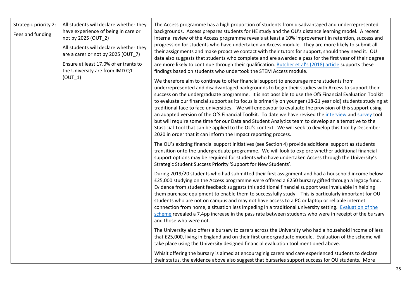| Strategic priority 2:<br>Fees and funding | All students will declare whether they<br>have experience of being in care or<br>not by 2025 (OUT 2)<br>All students will declare whether they<br>are a carer or not by 2025 (OUT_7)<br>Ensure at least 17.0% of entrants to<br>the University are from IMD Q1 | The Access programme has a high proportion of students from disadvantaged and underrepresented<br>backgrounds. Access prepares students for HE study and the OU's distance learning model. A recent<br>internal review of the Access programme reveals at least a 10% improvement in retention, success and<br>progression for students who have undertaken an Access module. They are more likely to submit all<br>their assignments and make proactive contact with their tutors for support, should they need it. OU<br>data also suggests that students who complete and are awarded a pass for the first year of their degree<br>are more likely to continue through their qualification. Butcher et al's (2018) article supports these<br>findings based on students who undertook the STEM Access module.                                                                                                                 |
|-------------------------------------------|----------------------------------------------------------------------------------------------------------------------------------------------------------------------------------------------------------------------------------------------------------------|----------------------------------------------------------------------------------------------------------------------------------------------------------------------------------------------------------------------------------------------------------------------------------------------------------------------------------------------------------------------------------------------------------------------------------------------------------------------------------------------------------------------------------------------------------------------------------------------------------------------------------------------------------------------------------------------------------------------------------------------------------------------------------------------------------------------------------------------------------------------------------------------------------------------------------|
|                                           | (OUT 1)                                                                                                                                                                                                                                                        | We therefore aim to continue to offer financial support to encourage more students from<br>underrepresented and disadvantaged backgrounds to begin their studies with Access to support their<br>success on the undergraduate programme. It is not possible to use the OfS Financial Evaluation Toolkit<br>to evaluate our financial support as its focus is primarily on younger (18-21 year old) students studying at<br>traditional face to face universities. We will endeavour to evaluate the provision of this support using<br>an adapted version of the OfS Financial Toolkit. To date we have revised the interview and survey tool<br>but will require some time for our Data and Student Analytics team to develop an alternative to the<br>Stasticial Tool that can be applied to the OU's context. We will seek to develop this tool by December<br>2020 in order that it can inform the Impact reporting process. |
|                                           |                                                                                                                                                                                                                                                                | The OU's existing financial support initiatives (see Section 4) provide additional support as students<br>transition onto the undergraduate programme. We will look to explore whether additional financial<br>support options may be required for students who have undertaken Access through the University's<br>Strategic Student Success Priority 'Support for New Students'.                                                                                                                                                                                                                                                                                                                                                                                                                                                                                                                                                |
|                                           |                                                                                                                                                                                                                                                                | During 2019/20 students who had submitted their first assignment and had a household income below<br>£25,000 studying on the Access programme were offered a £250 bursary gifted through a legacy fund.<br>Evidence from student feedback suggests this additional financial support was invaluable in helping<br>them purchase equipment to enable them to successfully study. This is particularly important for OU<br>students who are not on campus and may not have access to a PC or laptop or reliable internet<br>connection from home, a situation less impeding in a traditional university setting. Evaluation of the<br>scheme revealed a 7.4pp increase in the pass rate between students who were in receipt of the bursary<br>and those who were not.                                                                                                                                                             |
|                                           |                                                                                                                                                                                                                                                                | The University also offers a bursary to carers across the University who had a household income of less<br>that £25,000, living in England and on their first undergraduate module. Evaluation of the scheme will<br>take place using the University designed financial evaluation tool mentioned above.                                                                                                                                                                                                                                                                                                                                                                                                                                                                                                                                                                                                                         |
|                                           |                                                                                                                                                                                                                                                                | Whislt offering the bursary is aimed at encouraginig carers and care experienced students to declare<br>their status, the evidence above also suggest that bursaries support success for OU students. More                                                                                                                                                                                                                                                                                                                                                                                                                                                                                                                                                                                                                                                                                                                       |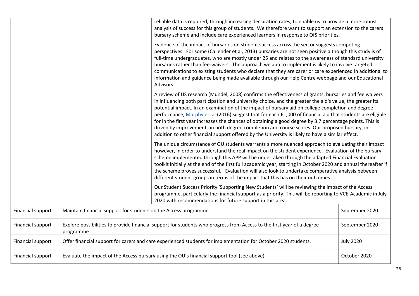|                   |                                                                                                                                                       | reliable data is required, through increasing declaration rates, to enable us to provide a more robust<br>analysis of success for this group of students. We therefore want to support an extension to the carers<br>bursary scheme and include care experienced learners in response to OfS priorities.                                                                                                                                                                                                                                                                                                                                                                                                                                                |                  |
|-------------------|-------------------------------------------------------------------------------------------------------------------------------------------------------|---------------------------------------------------------------------------------------------------------------------------------------------------------------------------------------------------------------------------------------------------------------------------------------------------------------------------------------------------------------------------------------------------------------------------------------------------------------------------------------------------------------------------------------------------------------------------------------------------------------------------------------------------------------------------------------------------------------------------------------------------------|------------------|
|                   |                                                                                                                                                       | Evidence of the impact of bursaries on student success across the sector suggests competing<br>perspectives. For some (Callender et al, 2013) bursaries are not seen positive although this study is of<br>full-time undergraduates, who are mostly under 25 and relates to the awareness of standard university<br>bursaries rather than fee-waivers. The approach we aim to implement is likely to involve targeted<br>communications to existing students who declare that they are carer or care experienced in additional to<br>information and guidance being made available through our Help Centre webpage and our Educational<br>Advisors.                                                                                                     |                  |
|                   |                                                                                                                                                       | A review of US research (Mundel, 2008) confirms the effectiveness of grants, bursaries and fee waivers<br>in influencing both participation and university choice, and the greater the aid's value, the greater its<br>potential impact. In an examination of the impact of bursary aid on college completion and degree<br>performance, Murphy et. al (2016) suggest that for each £1,000 of financial aid that students are eligible<br>for in the first year increases the chances of obtaining a good degree by 3.7 percentage points. This is<br>driven by improvements in both degree completion and course scores. Our proposed bursary, in<br>addition to other financial support offered by the University is likely to have a similar effect. |                  |
|                   |                                                                                                                                                       | The unique circumstance of OU students warrants a more nuanced approach to evaluating their impact<br>however, in order to understand the real impact on the student experience. Evaluation of the bursary<br>scheme implemented through this APP will be undertaken through the adapted Financial Evaluation<br>toolkit initially at the end of the first full academic year, starting in October 2020 and annual thereafter if<br>the scheme proves successful. Evaluation will also look to undertake comparative analysis between<br>different student groups in terms of the impact that this has on their outcomes.                                                                                                                               |                  |
|                   |                                                                                                                                                       | Our Student Success Priority 'Supporting New Students' will be reviewing the impact of the Access<br>programme, particularly the financial support as a priority. This will be reporting to VCE-Academic in July<br>2020 with recommendations for future support in this area.                                                                                                                                                                                                                                                                                                                                                                                                                                                                          |                  |
| Financial support | Maintain financial support for students on the Access programme.                                                                                      |                                                                                                                                                                                                                                                                                                                                                                                                                                                                                                                                                                                                                                                                                                                                                         | September 2020   |
| Financial support | Explore possibilities to provide financial support for students who progress from Access to the first year of a degree<br>September 2020<br>programme |                                                                                                                                                                                                                                                                                                                                                                                                                                                                                                                                                                                                                                                                                                                                                         |                  |
| Financial support |                                                                                                                                                       | Offer financial support for carers and care experienced students for implementation for October 2020 students.                                                                                                                                                                                                                                                                                                                                                                                                                                                                                                                                                                                                                                          | <b>July 2020</b> |
| Financial support | Evaluate the impact of the Access bursary using the OU's financial support tool (see above)<br>October 2020                                           |                                                                                                                                                                                                                                                                                                                                                                                                                                                                                                                                                                                                                                                                                                                                                         |                  |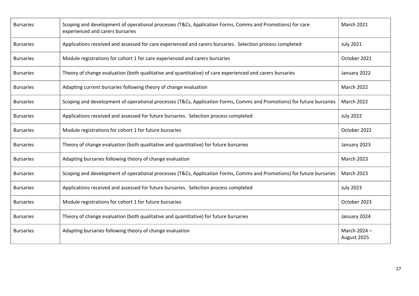| <b>Bursaries</b> | Scoping and development of operational processes (T&Cs, Application Forms, Comms and Promotions) for care<br>experienced and carers bursaries |                             |  |
|------------------|-----------------------------------------------------------------------------------------------------------------------------------------------|-----------------------------|--|
| <b>Bursaries</b> | Applications received and assessed for care experienced and carers bursaries. Selection process completed                                     | <b>July 2021</b>            |  |
| <b>Bursaries</b> | Module registrations for cohort 1 for care experienced and carers bursaries                                                                   | October 2021                |  |
| <b>Bursaries</b> | Theory of change evaluation (both qualitative and quantitative) of care experienced and carers bursaries                                      | January 2022                |  |
| <b>Bursaries</b> | Adapting current bursaries following theory of change evaluation                                                                              | March 2022                  |  |
| <b>Bursaries</b> | Scoping and development of operational processes (T&Cs, Application Forms, Comms and Promotions) for future bursaries                         | <b>March 2022</b>           |  |
| <b>Bursaries</b> | Applications received and assessed for future bursaries. Selection process completed                                                          | <b>July 2022</b>            |  |
| <b>Bursaries</b> | Module registrations for cohort 1 for future bursaries                                                                                        | October 2022                |  |
| <b>Bursaries</b> | Theory of change evaluation (both qualitative and quantitative) for future bursaries                                                          | January 2023                |  |
| <b>Bursaries</b> | Adapting bursaries following theory of change evaluation                                                                                      | <b>March 2023</b>           |  |
| <b>Bursaries</b> | Scoping and development of operational processes (T&Cs, Application Forms, Comms and Promotions) for future bursaries                         | March 2023                  |  |
| <b>Bursaries</b> | Applications received and assessed for future bursaries. Selection process completed                                                          | <b>July 2023</b>            |  |
| <b>Bursaries</b> | Module registrations for cohort 1 for future bursaries                                                                                        | October 2023                |  |
| <b>Bursaries</b> | Theory of change evaluation (both qualitative and quantitative) for future bursaries                                                          | January 2024                |  |
| <b>Bursaries</b> | Adapting bursaries following theory of change evaluation                                                                                      | March 2024 -<br>August 2025 |  |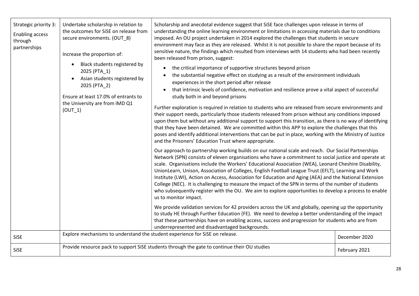| Strategic priority 3:<br>Enabling access<br>through<br>partnerships | Undertake scholarship in relation to<br>the outcomes for SiSE on release from<br>secure environments. (OUT_8)<br>Increase the proportion of:<br>Black students registered by<br>2025 (PTA_1)<br>Asian students registered by<br>2025 (PTA_2)<br>Ensure at least 17.0% of entrants to<br>the University are from IMD Q1<br>$(OUT_1)$<br>Explore mechanisms to understand the student experience for SiSE on release. | Scholarship and anecdotal evidence suggest that SiSE face challenges upon release in terms of<br>understanding the online learning environment or limitations in accessing materials due to conditions<br>imposed. An OU project undertaken in 2014 explored the challenges that students in secure<br>environment may face as they are released. Whilst it is not possible to share the report because of its<br>sensitive nature, the findings which resulted from interviews with 14 students who had been recently<br>been released from prison, suggest:<br>the critical importance of supportive structures beyond prison<br>$\bullet$<br>the substantial negative effect on studying as a result of the environment individuals<br>experiences in the short period after release<br>that intrinsic levels of confidence, motivation and resilience prove a vital aspect of successful<br>study both in and beyond prisons<br>Further exploration is required in relation to students who are released from secure environments and<br>their support needs, particularly those students released from prison without any conditions imposed<br>upon them but without any additional support to support this transition, as there is no way of identifying<br>that they have been detained. We are committed within this APP to explore the challenges that this<br>poses and identify additional interventions that can be put in place, working with the Ministry of Justice<br>and the Prisoners' Education Trust where appropriate.<br>Our approach to partnership working builds on our national scale and reach. Our Social Partnerships<br>Network (SPN) consists of eleven organisations who have a commitment to social justice and operate at<br>scale. Organisations include the Workers' Educational Association (WEA), Leonard Cheshire Disability,<br>UnionLearn, Unison, Association of Colleges, English Football League Trust (EFLT), Learning and Work<br>Institute (LWI), Action on Access, Association for Education and Aging (AEA) and the National Extension<br>College (NEC). It is challenging to measure the impact of the SPN in terms of the number of students<br>who subsequently register with the OU. We aim to explore opportunities to develop a process to enable<br>us to monitor impact.<br>We provide validation services for 42 providers across the UK and globally, opening up the opportunity<br>to study HE through Further Education (FE). We need to develop a better understanding of the impact<br>that these partnerships have on enabling access, success and progression for students who are from<br>underrepresented and disadvantaged backgrounds. |               |
|---------------------------------------------------------------------|---------------------------------------------------------------------------------------------------------------------------------------------------------------------------------------------------------------------------------------------------------------------------------------------------------------------------------------------------------------------------------------------------------------------|--------------------------------------------------------------------------------------------------------------------------------------------------------------------------------------------------------------------------------------------------------------------------------------------------------------------------------------------------------------------------------------------------------------------------------------------------------------------------------------------------------------------------------------------------------------------------------------------------------------------------------------------------------------------------------------------------------------------------------------------------------------------------------------------------------------------------------------------------------------------------------------------------------------------------------------------------------------------------------------------------------------------------------------------------------------------------------------------------------------------------------------------------------------------------------------------------------------------------------------------------------------------------------------------------------------------------------------------------------------------------------------------------------------------------------------------------------------------------------------------------------------------------------------------------------------------------------------------------------------------------------------------------------------------------------------------------------------------------------------------------------------------------------------------------------------------------------------------------------------------------------------------------------------------------------------------------------------------------------------------------------------------------------------------------------------------------------------------------------------------------------------------------------------------------------------------------------------------------------------------------------------------------------------------------------------------------------------------------------------------------------------------------------------------------------------------------------------------------------------------------------------------------------------------------------------------------------------------------------------------------------------------------------------------------------------------------------------|---------------|
| <b>SiSE</b>                                                         |                                                                                                                                                                                                                                                                                                                                                                                                                     | Provide resource pack to support SiSE students through the gate to continue their OU studies                                                                                                                                                                                                                                                                                                                                                                                                                                                                                                                                                                                                                                                                                                                                                                                                                                                                                                                                                                                                                                                                                                                                                                                                                                                                                                                                                                                                                                                                                                                                                                                                                                                                                                                                                                                                                                                                                                                                                                                                                                                                                                                                                                                                                                                                                                                                                                                                                                                                                                                                                                                                                 | December 2020 |
| <b>SiSE</b>                                                         |                                                                                                                                                                                                                                                                                                                                                                                                                     |                                                                                                                                                                                                                                                                                                                                                                                                                                                                                                                                                                                                                                                                                                                                                                                                                                                                                                                                                                                                                                                                                                                                                                                                                                                                                                                                                                                                                                                                                                                                                                                                                                                                                                                                                                                                                                                                                                                                                                                                                                                                                                                                                                                                                                                                                                                                                                                                                                                                                                                                                                                                                                                                                                              | February 2021 |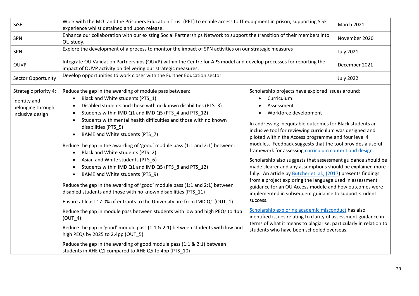| SiSE                                                                           | Work with the MOJ and the Prisoners Education Trust (PET) to enable access to IT equipment in prison, supporting SiSE<br>experience whilst detained and upon release.                                                                                                                                                                                                                                                                                                                                                                                                                                                                                                                                                                                                                                                                                                                                                                                                                                                                                                                                                                                                                                                                             | <b>March 2021</b>                                                                                                                                                                                                                                                                                                                                                                                                                                                                                                                                                                                                                                                                                                                                                                                                                                                                                                                                                                                                                                          |                  |
|--------------------------------------------------------------------------------|---------------------------------------------------------------------------------------------------------------------------------------------------------------------------------------------------------------------------------------------------------------------------------------------------------------------------------------------------------------------------------------------------------------------------------------------------------------------------------------------------------------------------------------------------------------------------------------------------------------------------------------------------------------------------------------------------------------------------------------------------------------------------------------------------------------------------------------------------------------------------------------------------------------------------------------------------------------------------------------------------------------------------------------------------------------------------------------------------------------------------------------------------------------------------------------------------------------------------------------------------|------------------------------------------------------------------------------------------------------------------------------------------------------------------------------------------------------------------------------------------------------------------------------------------------------------------------------------------------------------------------------------------------------------------------------------------------------------------------------------------------------------------------------------------------------------------------------------------------------------------------------------------------------------------------------------------------------------------------------------------------------------------------------------------------------------------------------------------------------------------------------------------------------------------------------------------------------------------------------------------------------------------------------------------------------------|------------------|
| <b>SPN</b>                                                                     | Enhance our collaboration with our existing Social Partnerships Network to support the transition of their members into<br>OU study.                                                                                                                                                                                                                                                                                                                                                                                                                                                                                                                                                                                                                                                                                                                                                                                                                                                                                                                                                                                                                                                                                                              |                                                                                                                                                                                                                                                                                                                                                                                                                                                                                                                                                                                                                                                                                                                                                                                                                                                                                                                                                                                                                                                            | November 2020    |
| SPN                                                                            | Explore the development of a process to monitor the impact of SPN activities on our strategic measures                                                                                                                                                                                                                                                                                                                                                                                                                                                                                                                                                                                                                                                                                                                                                                                                                                                                                                                                                                                                                                                                                                                                            |                                                                                                                                                                                                                                                                                                                                                                                                                                                                                                                                                                                                                                                                                                                                                                                                                                                                                                                                                                                                                                                            | <b>July 2021</b> |
| <b>OUVP</b>                                                                    | Integrate OU Validation Partnerships (OUVP) within the Centre for APS model and develop processes for reporting the<br>impact of OUVP activity on delivering our strategic measures.                                                                                                                                                                                                                                                                                                                                                                                                                                                                                                                                                                                                                                                                                                                                                                                                                                                                                                                                                                                                                                                              |                                                                                                                                                                                                                                                                                                                                                                                                                                                                                                                                                                                                                                                                                                                                                                                                                                                                                                                                                                                                                                                            | December 2021    |
| Sector Opportunity                                                             | Develop opportunities to work closer with the Further Education sector                                                                                                                                                                                                                                                                                                                                                                                                                                                                                                                                                                                                                                                                                                                                                                                                                                                                                                                                                                                                                                                                                                                                                                            |                                                                                                                                                                                                                                                                                                                                                                                                                                                                                                                                                                                                                                                                                                                                                                                                                                                                                                                                                                                                                                                            | <b>July 2022</b> |
| Strategic priority 4:<br>Identity and<br>belonging through<br>inclusive design | Reduce the gap in the awarding of module pass between:<br>Black and White students (PTS_1)<br>$\bullet$<br>Disabled students and those with no known disabilities (PTS_3)<br>Students within IMD Q1 and IMD Q5 (PTS_4 and PTS_12)<br>$\bullet$<br>Students with mental health difficulties and those with no known<br>disabilities (PTS_5)<br>BAME and White students (PTS_7)<br>Reduce the gap in the awarding of 'good' module pass (1:1 and 2:1) between:<br>Black and White students (PTS_2)<br>$\bullet$<br>Asian and White students (PTS_6)<br>Students within IMD Q1 and IMD Q5 (PTS_8 and PTS_12)<br>BAME and White students (PTS_9)<br>$\bullet$<br>Reduce the gap in the awarding of 'good' module pass (1:1 and 2:1) between<br>disabled students and those with no known disabilities (PTS_11)<br>Ensure at least 17.0% of entrants to the University are from IMD Q1 (OUT_1)<br>Reduce the gap in module pass between students with low and high PEQs to 4pp<br>$(OUT_4)$<br>Reduce the gap in 'good' module pass (1:1 & 2:1) between students with low and<br>high PEQs by 2025 to 2.4pp (OUT_5)<br>Reduce the gap in the awarding of good module pass (1:1 & 2:1) between<br>students in AHE Q1 compared to AHE Q5 to 4pp (PTS_10) | Scholarship projects have explored issues around:<br>Curriculum<br>Assessment<br>Workforce development<br>In addressing inequitable outcomes for Black students an<br>inclusive tool for reviewing curriculum was designed and<br>piloted within the Access programme and four level 4<br>modules. Feedback suggests that the tool provides a useful<br>framework for assessing curriculum content and design.<br>Scholarship also suggests that assessment guidance should be<br>made clearer and any assumptions should be explained more<br>fully. An article by <b>Butcher et. al., (2017)</b> presents findings<br>from a project exploring the language used in assessment<br>guidance for an OU Access module and how outcomes were<br>implemented in subsequent guidance to support student<br>success.<br>Scholarship exploring academic misconduct has also<br>identified issues relating to clarity of assessment guidance in<br>terms of what it means to plagiarise, particularly in relation to<br>students who have been schooled overseas. |                  |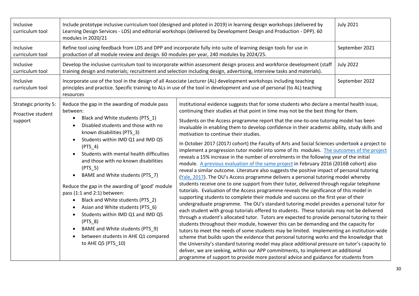| Inclusive<br>curriculum tool                          | Include prototype inclusive curriculum tool (designed and piloted in 2019) in learning design workshops (delivered by<br>Learning Design Services - LDS) and editorial workshops (delivered by Development Design and Production - DPP). 60<br>modules in 2020/21                                                                                                                                                                                                                                                                                                                                                                                                                                                                                  | <b>July 2021</b>                                                                                                                                                                                                                                                                                                                                                                                                                                                                                                                                                                                                                                                                                                                                                                                                                                                                                                                                                                                                                                                                                                                                                                                                                                                                                                                                                                                                                                                                                                                                                                                                                                                                                                                                                                                                                                                                                                                                                                                                                                                                                                                 |                |
|-------------------------------------------------------|----------------------------------------------------------------------------------------------------------------------------------------------------------------------------------------------------------------------------------------------------------------------------------------------------------------------------------------------------------------------------------------------------------------------------------------------------------------------------------------------------------------------------------------------------------------------------------------------------------------------------------------------------------------------------------------------------------------------------------------------------|----------------------------------------------------------------------------------------------------------------------------------------------------------------------------------------------------------------------------------------------------------------------------------------------------------------------------------------------------------------------------------------------------------------------------------------------------------------------------------------------------------------------------------------------------------------------------------------------------------------------------------------------------------------------------------------------------------------------------------------------------------------------------------------------------------------------------------------------------------------------------------------------------------------------------------------------------------------------------------------------------------------------------------------------------------------------------------------------------------------------------------------------------------------------------------------------------------------------------------------------------------------------------------------------------------------------------------------------------------------------------------------------------------------------------------------------------------------------------------------------------------------------------------------------------------------------------------------------------------------------------------------------------------------------------------------------------------------------------------------------------------------------------------------------------------------------------------------------------------------------------------------------------------------------------------------------------------------------------------------------------------------------------------------------------------------------------------------------------------------------------------|----------------|
| Inclusive<br>curriculum tool                          | production of all module review and design. 60 modules per year, 240 modules by 2024/25.                                                                                                                                                                                                                                                                                                                                                                                                                                                                                                                                                                                                                                                           | Refine tool using feedback from LDS and DPP and incorporate fully into suite of learning design tools for use in                                                                                                                                                                                                                                                                                                                                                                                                                                                                                                                                                                                                                                                                                                                                                                                                                                                                                                                                                                                                                                                                                                                                                                                                                                                                                                                                                                                                                                                                                                                                                                                                                                                                                                                                                                                                                                                                                                                                                                                                                 | September 2021 |
| Inclusive<br>curriculum tool                          | <b>July 2022</b><br>Develop the inclusive curriculum tool to incorporate within assessment design process and workforce development (staff<br>training design and materials; recruitment and selection including design, advertising, interview tasks and materials).                                                                                                                                                                                                                                                                                                                                                                                                                                                                              |                                                                                                                                                                                                                                                                                                                                                                                                                                                                                                                                                                                                                                                                                                                                                                                                                                                                                                                                                                                                                                                                                                                                                                                                                                                                                                                                                                                                                                                                                                                                                                                                                                                                                                                                                                                                                                                                                                                                                                                                                                                                                                                                  |                |
| Inclusive<br>curriculum tool                          | resources                                                                                                                                                                                                                                                                                                                                                                                                                                                                                                                                                                                                                                                                                                                                          | Incorporate use of the tool in the design of all Associate Lecturer (AL) development workshops including teaching<br>principles and practice. Specific training to ALs in use of the tool in development and use of personal (to AL) teaching                                                                                                                                                                                                                                                                                                                                                                                                                                                                                                                                                                                                                                                                                                                                                                                                                                                                                                                                                                                                                                                                                                                                                                                                                                                                                                                                                                                                                                                                                                                                                                                                                                                                                                                                                                                                                                                                                    | September 2022 |
| Strategic priority 5:<br>Proactive student<br>support | Reduce the gap in the awarding of module pass<br>between:<br>Black and White students (PTS_1)<br>$\bullet$<br>Disabled students and those with no<br>known disabilities (PTS_3)<br>Students within IMD Q1 and IMD Q5<br>$\bullet$<br>$(PTS_4)$<br>Students with mental health difficulties<br>$\bullet$<br>and those with no known disabilities<br>$(PTS_5)$<br>BAME and White students (PTS_7)<br>$\bullet$<br>Reduce the gap in the awarding of 'good' module<br>pass (1:1 and 2:1) between:<br>Black and White students (PTS_2)<br>$\bullet$<br>Asian and White students (PTS_6)<br>Students within IMD Q1 and IMD Q5<br>$(PTS_8)$<br>BAME and White students (PTS_9)<br>$\bullet$<br>between students in AHE Q1 compared<br>to AHE Q5 (PTS_10) | Institutional evidence suggests that for some students who declare a mental health issue,<br>continuing their studies at that point in time may not be the best thing for them.<br>Students on the Access programme report that the one-to-one tutoring model has been<br>invaluable in enabling them to develop confidence in their academic ability, study skills and<br>motivation to continue their studies.<br>In October 2017 (2017J cohort) the Faculty of Arts and Social Sciences undertook a project to<br>implement a progression tutor model into some of its modules. The outcomes of the project<br>reveals a 15% increase in the number of enrolments in the following year of the initial<br>module. A previous evaluation of the same project in February 2016 (2016B cohort) also<br>reveal a similar outcome. Literature also suggests the positive impact of personal tutoring<br>(Yale, 2017). The OU's Access programme delivers a personal tutoring model whereby<br>students receive one to one support from their tutor, delivered through regular telephone<br>tutorials. Evaluation of the Access programme reveals the significance of this model in<br>supporting students to complete their module and success on the first year of their<br>undergraduate programme. The OU's standard tutoring model provides a personal tutor for<br>each student with group tutorials offered to students. These tutorials may not be delivered<br>through a student's allocated tutor. Tutors are expected to provide personal tutoring to their<br>students throughout their module, however this can be demanding and the capacity for<br>tutors to meet the needs of some students may be limited. Implementing an institution-wide<br>scheme that builds upon the evidence that personal tutoring works and the knowledge that<br>the University's standard tutoring model may place additional pressure on tutor's capacity to<br>deliver, we are seeking, within our APP commitments, to implement an additional<br>programme of support to provide more pastoral advice and guidance for students from |                |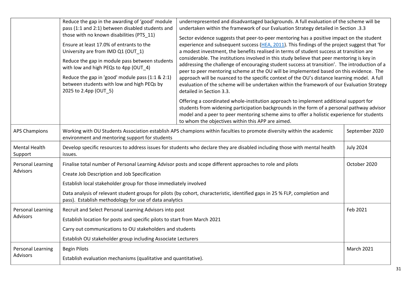|                                             | Reduce the gap in the awarding of 'good' module<br>pass (1:1 and 2:1) between disabled students and<br>those with no known disabilities (PTS_11)<br>Ensure at least 17.0% of entrants to the<br>University are from IMD Q1 (OUT 1)<br>Reduce the gap in module pass between students<br>with low and high PEQs to 4pp (OUT_4)<br>Reduce the gap in 'good' module pass (1:1 & 2:1)<br>between students with low and high PEQs by<br>2025 to 2.4pp (OUT 5) | underrepresented and disadvantaged backgrounds. A full evaluation of the scheme will be<br>undertaken within the framework of our Evaluation Strategy detailed in Section .3.3<br>Sector evidence suggests that peer-to-peer mentoring has a positive impact on the student<br>experience and subsequent success (HEA, 2011). This findings of the project suggest that 'for<br>a modest investment, the benefits realised in terms of student success at transition are<br>considerable. The institutions involved in this study believe that peer mentoring is key in<br>addressing the challenge of encouraging student success at transition'. The introduction of a<br>peer to peer mentoring scheme at the OU will be implemented based on this evidence. The<br>approach will be nuanced to the specific context of the OU's distance learning model. A full<br>evaluation of the scheme will be undertaken within the framework of our Evaluation Strategy<br>detailed in Section 3.3.<br>Offering a coordinated whole-institution approach to implement additional support for<br>students from widening participation backgrounds in the form of a personal pathway advisor<br>model and a peer to peer mentoring scheme aims to offer a holistic experience for students |                  |
|---------------------------------------------|----------------------------------------------------------------------------------------------------------------------------------------------------------------------------------------------------------------------------------------------------------------------------------------------------------------------------------------------------------------------------------------------------------------------------------------------------------|-------------------------------------------------------------------------------------------------------------------------------------------------------------------------------------------------------------------------------------------------------------------------------------------------------------------------------------------------------------------------------------------------------------------------------------------------------------------------------------------------------------------------------------------------------------------------------------------------------------------------------------------------------------------------------------------------------------------------------------------------------------------------------------------------------------------------------------------------------------------------------------------------------------------------------------------------------------------------------------------------------------------------------------------------------------------------------------------------------------------------------------------------------------------------------------------------------------------------------------------------------------------------------------|------------------|
| <b>APS Champions</b>                        | to whom the objectives within this APP are aimed.<br>Working with OU Students Association establish APS champions within faculties to promote diversity within the academic                                                                                                                                                                                                                                                                              |                                                                                                                                                                                                                                                                                                                                                                                                                                                                                                                                                                                                                                                                                                                                                                                                                                                                                                                                                                                                                                                                                                                                                                                                                                                                                     | September 2020   |
| <b>Mental Health</b><br>Support             | environment and mentoring support for students<br>Develop specific resources to address issues for students who declare they are disabled including those with mental health<br>issues.                                                                                                                                                                                                                                                                  |                                                                                                                                                                                                                                                                                                                                                                                                                                                                                                                                                                                                                                                                                                                                                                                                                                                                                                                                                                                                                                                                                                                                                                                                                                                                                     | <b>July 2024</b> |
| <b>Personal Learning</b><br><b>Advisors</b> | Finalise total number of Personal Learning Advisor posts and scope different approaches to role and pilots<br>Create Job Description and Job Specification<br>Establish local stakeholder group for those immediately involved<br>Data analysis of relevant student groups for pilots (by cohort, characteristic, identified gaps in 25 % FLP, completion and<br>pass). Establish methodology for use of data analytics                                  |                                                                                                                                                                                                                                                                                                                                                                                                                                                                                                                                                                                                                                                                                                                                                                                                                                                                                                                                                                                                                                                                                                                                                                                                                                                                                     | October 2020     |
| Personal Learning<br><b>Advisors</b>        | Feb 2021<br>Recruit and Select Personal Learning Advisors into post<br>Establish location for posts and specific pilots to start from March 2021<br>Carry out communications to OU stakeholders and students<br>Establish OU stakeholder group including Associate Lecturers                                                                                                                                                                             |                                                                                                                                                                                                                                                                                                                                                                                                                                                                                                                                                                                                                                                                                                                                                                                                                                                                                                                                                                                                                                                                                                                                                                                                                                                                                     |                  |
| Personal Learning<br><b>Advisors</b>        | <b>Begin Pilots</b><br>March 2021<br>Establish evaluation mechanisms (qualitative and quantitative).                                                                                                                                                                                                                                                                                                                                                     |                                                                                                                                                                                                                                                                                                                                                                                                                                                                                                                                                                                                                                                                                                                                                                                                                                                                                                                                                                                                                                                                                                                                                                                                                                                                                     |                  |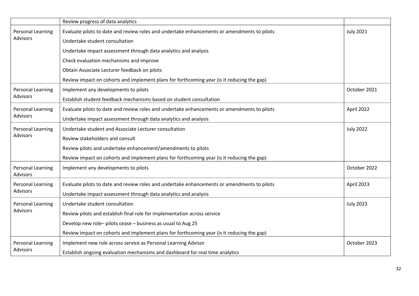|                                      | Review progress of data analytics                                                           |                  |
|--------------------------------------|---------------------------------------------------------------------------------------------|------------------|
| Personal Learning                    | Evaluate pilots to date and review roles and undertake enhancements or amendments to pilots | <b>July 2021</b> |
| <b>Advisors</b>                      | Undertake student consultation                                                              |                  |
|                                      | Undertake impact assessment through data analytics and analysis                             |                  |
|                                      | Check evaluation mechanisms and improve                                                     |                  |
|                                      | Obtain Associate Lecturer feedback on pilots                                                |                  |
|                                      | Review impact on cohorts and implement plans for forthcoming year (is it reducing the gap)  |                  |
| Personal Learning                    | Implement any developments to pilots                                                        | October 2021     |
| <b>Advisors</b>                      | Establish student feedback mechanisms based on student consultation                         |                  |
| Personal Learning                    | Evaluate pilots to date and review roles and undertake enhancements or amendments to pilots | April 2022       |
| <b>Advisors</b>                      | Undertake impact assessment through data analytics and analysis                             |                  |
| Personal Learning                    | Undertake student and Associate Lecturer consultation                                       | <b>July 2022</b> |
| <b>Advisors</b>                      | Review stakeholders and consult                                                             |                  |
|                                      | Review pilots and undertake enhancement/amendments to pilots                                |                  |
|                                      | Review impact on cohorts and implement plans for forthcoming year (is it reducing the gap)  |                  |
| Personal Learning<br><b>Advisors</b> | Implement any developments to pilots                                                        | October 2022     |
| Personal Learning                    | Evaluate pilots to date and review roles and undertake enhancements or amendments to pilots | April 2023       |
| <b>Advisors</b>                      | Undertake impact assessment through data analytics and analysis                             |                  |
| Personal Learning                    | Undertake student consultation                                                              | <b>July 2023</b> |
| <b>Advisors</b>                      | Review pilots and establish final role for implementation across service                    |                  |
|                                      | Develop new role-pilots cease - business as usual to Aug 25                                 |                  |
|                                      | Review impact on cohorts and implement plans for forthcoming year (is it reducing the gap)  |                  |
| Personal Learning                    | Implement new role across service as Personal Learning Advisor                              | October 2023     |
| <b>Advisors</b>                      | Establish ongoing evaluation mechanisms and dashboard for real time analytics               |                  |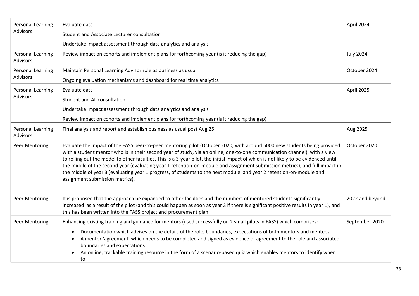| <b>Personal Learning</b>             | Evaluate data                                                                                                                                                                                                                                                                                                                                                                                                                                                                                                                                                                                                                                                                           | April 2024       |
|--------------------------------------|-----------------------------------------------------------------------------------------------------------------------------------------------------------------------------------------------------------------------------------------------------------------------------------------------------------------------------------------------------------------------------------------------------------------------------------------------------------------------------------------------------------------------------------------------------------------------------------------------------------------------------------------------------------------------------------------|------------------|
| <b>Advisors</b>                      | Student and Associate Lecturer consultation                                                                                                                                                                                                                                                                                                                                                                                                                                                                                                                                                                                                                                             |                  |
|                                      | Undertake impact assessment through data analytics and analysis                                                                                                                                                                                                                                                                                                                                                                                                                                                                                                                                                                                                                         |                  |
| Personal Learning<br>Advisors        | Review impact on cohorts and implement plans for forthcoming year (is it reducing the gap)                                                                                                                                                                                                                                                                                                                                                                                                                                                                                                                                                                                              | <b>July 2024</b> |
| Personal Learning<br><b>Advisors</b> | Maintain Personal Learning Advisor role as business as usual<br>Ongoing evaluation mechanisms and dashboard for real time analytics                                                                                                                                                                                                                                                                                                                                                                                                                                                                                                                                                     | October 2024     |
|                                      |                                                                                                                                                                                                                                                                                                                                                                                                                                                                                                                                                                                                                                                                                         |                  |
| Personal Learning<br><b>Advisors</b> | Evaluate data                                                                                                                                                                                                                                                                                                                                                                                                                                                                                                                                                                                                                                                                           | April 2025       |
|                                      | Student and AL consultation                                                                                                                                                                                                                                                                                                                                                                                                                                                                                                                                                                                                                                                             |                  |
|                                      | Undertake impact assessment through data analytics and analysis                                                                                                                                                                                                                                                                                                                                                                                                                                                                                                                                                                                                                         |                  |
|                                      | Review impact on cohorts and implement plans for forthcoming year (is it reducing the gap)                                                                                                                                                                                                                                                                                                                                                                                                                                                                                                                                                                                              |                  |
| <b>Personal Learning</b><br>Advisors | Final analysis and report and establish business as usual post Aug 25                                                                                                                                                                                                                                                                                                                                                                                                                                                                                                                                                                                                                   | Aug 2025         |
| Peer Mentoring                       | Evaluate the impact of the FASS peer-to-peer mentoring pilot (October 2020, with around 5000 new students being provided<br>with a student mentor who is in their second year of study, via an online, one-to-one communication channel), with a view<br>to rolling out the model to other faculties. This is a 3-year pilot, the initial impact of which is not likely to be evidenced until<br>the middle of the second year (evaluating year 1 retention-on-module and assignment submission metrics), and full impact in<br>the middle of year 3 (evaluating year 1 progress, of students to the next module, and year 2 retention-on-module and<br>assignment submission metrics). | October 2020     |
| Peer Mentoring                       | It is proposed that the approach be expanded to other faculties and the numbers of mentored students significantly<br>increased as a result of the pilot (and this could happen as soon as year 3 if there is significant positive results in year 1), and<br>this has been written into the FASS project and procurement plan.                                                                                                                                                                                                                                                                                                                                                         | 2022 and beyond  |
| Peer Mentoring                       | Enhancing existing training and guidance for mentors (used successfully on 2 small pilots in FASS) which comprises:                                                                                                                                                                                                                                                                                                                                                                                                                                                                                                                                                                     | September 2020   |
|                                      | Documentation which advises on the details of the role, boundaries, expectations of both mentors and mentees<br>A mentor 'agreement' which needs to be completed and signed as evidence of agreement to the role and associated<br>boundaries and expectations<br>An online, trackable training resource in the form of a scenario-based quiz which enables mentors to identify when<br>to                                                                                                                                                                                                                                                                                              |                  |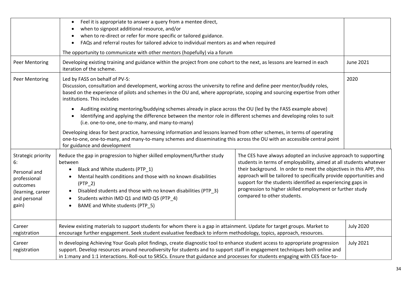|                                                                                                                    | Feel it is appropriate to answer a query from a mentee direct,<br>$\bullet$<br>when to signpost additional resource, and/or<br>when to re-direct or refer for more specific or tailored guidance.<br>FAQs and referral routes for tailored advice to individual mentors as and when required<br>The opportunity to communicate with other mentors (hopefully) via a forum                                                                                                                                                                                                                                                                                                                                                                                                                                 |  |                  |
|--------------------------------------------------------------------------------------------------------------------|-----------------------------------------------------------------------------------------------------------------------------------------------------------------------------------------------------------------------------------------------------------------------------------------------------------------------------------------------------------------------------------------------------------------------------------------------------------------------------------------------------------------------------------------------------------------------------------------------------------------------------------------------------------------------------------------------------------------------------------------------------------------------------------------------------------|--|------------------|
| Peer Mentoring                                                                                                     | Developing existing training and guidance within the project from one cohort to the next, as lessons are learned in each<br>iteration of the scheme.                                                                                                                                                                                                                                                                                                                                                                                                                                                                                                                                                                                                                                                      |  | <b>June 2021</b> |
| Peer Mentoring                                                                                                     | Led by FASS on behalf of PV-S:<br>Discussion, consultation and development, working across the university to refine and define peer mentor/buddy roles,<br>based on the experience of pilots and schemes in the OU and, where appropriate, scoping and sourcing expertise from other<br>institutions. This includes<br>Auditing existing mentoring/buddying schemes already in place across the OU (led by the FASS example above)<br>$\bullet$<br>Identifying and applying the difference between the mentor role in different schemes and developing roles to suit<br>(i.e. one-to-one, one-to-many, and many-to-many)                                                                                                                                                                                  |  | 2020             |
|                                                                                                                    | Developing ideas for best practice, harnessing information and lessons learned from other schemes, in terms of operating<br>one-to-one, one-to-many, and many-to-many schemes and disseminating this across the OU with an accessible central point<br>for guidance and development                                                                                                                                                                                                                                                                                                                                                                                                                                                                                                                       |  |                  |
| Strategic priority<br>6:<br>Personal and<br>professional<br>outcomes<br>(learning, career<br>and personal<br>gain) | Reduce the gap in progression to higher skilled employment/further study<br>The CES have always adopted an inclusive approach to supporting<br>students in terms of employability, aimed at all students whatever<br>between<br>their background. In order to meet the objectives in this APP, this<br>Black and White students (PTP_1)<br>approach will be tailored to specifically provide opportunities and<br>Mental health conditions and those with no known disabilities<br>support for the students identified as experiencing gaps in<br>$(PTP_2)$<br>progression to higher skilled employment or further study<br>Disabled students and those with no known disabilities (PTP_3)<br>compared to other students.<br>Students within IMD Q1 and IMD Q5 (PTP_4)<br>BAME and White students (PTP 5) |  |                  |
| Career<br>registration                                                                                             | Review existing materials to support students for whom there is a gap in attainment. Update for target groups. Market to<br>encourage further engagement. Seek student evaluative feedback to inform methodology, topics, approach, resources.                                                                                                                                                                                                                                                                                                                                                                                                                                                                                                                                                            |  | <b>July 2020</b> |
| Career<br>registration                                                                                             | In developing Achieving Your Goals pilot findings, create diagnostic tool to enhance student access to appropriate progression<br>support. Develop resources around neurodiversity for students and to support staff in engagement techniques both online and<br>in 1:many and 1:1 interactions. Roll-out to SRSCs. Ensure that guidance and processes for students engaging with CES face-to-                                                                                                                                                                                                                                                                                                                                                                                                            |  | <b>July 2021</b> |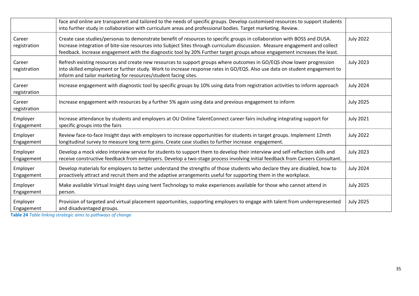|                        | face and online are transparent and tailored to the needs of specific groups. Develop customised resources to support students<br>into further study in collaboration with curriculum areas and professional bodies. Target marketing. Review.                                                                                                                                        |                  |
|------------------------|---------------------------------------------------------------------------------------------------------------------------------------------------------------------------------------------------------------------------------------------------------------------------------------------------------------------------------------------------------------------------------------|------------------|
| Career<br>registration | Create case studies/personas to demonstrate benefit of resources to specific groups in collaboration with BOSS and OUSA.<br>Increase integration of bite-size resources into Subject Sites through curriculum discussion. Measure engagement and collect<br>feedback. Increase engagement with the diagnostic tool by 20% Further target groups whose engagement increases the least. | <b>July 2022</b> |
| Career<br>registration | Refresh existing resources and create new resources to support groups where outcomes in GO/EQS show lower progression<br>into skilled employment or further study. Work to increase response rates in GO/EQS. Also use data on student engagement to<br>inform and tailor marketing for resources/student facing sites.                                                               | <b>July 2023</b> |
| Career<br>registration | Increase engagement with diagnostic tool by specific groups by 10% using data from registration activities to inform approach                                                                                                                                                                                                                                                         | <b>July 2024</b> |
| Career<br>registration | Increase engagement with resources by a further 5% again using data and previous engagement to inform                                                                                                                                                                                                                                                                                 | <b>July 2025</b> |
| Employer<br>Engagement | Increase attendance by students and employers at OU Online TalentConnect career fairs including integrating support for<br>specific groups into the fairs                                                                                                                                                                                                                             | <b>July 2021</b> |
| Employer<br>Engagement | Review face-to-face Insight days with employers to increase opportunities for students in target groups. Implement 12mth<br>longitudinal survey to measure long term gains. Create case studies to further increase engagement.                                                                                                                                                       | <b>July 2022</b> |
| Employer<br>Engagement | Develop a mock video interview service for students to support them to develop their interview and self-reflection skills and<br>receive constructive feedback from employers. Develop a two-stage process involving initial feedback from Careers Consultant.                                                                                                                        | <b>July 2023</b> |
| Employer<br>Engagement | Develop materials for employers to better understand the strengths of those students who declare they are disabled, how to<br>proactively attract and recruit them and the adaptive arrangements useful for supporting them in the workplace.                                                                                                                                         | <b>July 2024</b> |
| Employer<br>Engagement | Make available Virtual Insight days using Ivent Technology to make experiences available for those who cannot attend in<br>person.                                                                                                                                                                                                                                                    | <b>July 2025</b> |
| Employer<br>Engagement | Provision of targeted and virtual placement opportunities, supporting employers to engage with talent from underrepresented<br>and disadvantaged groups.                                                                                                                                                                                                                              | <b>July 2025</b> |

**Table 24** *Table linking strategic aims to pathways of change*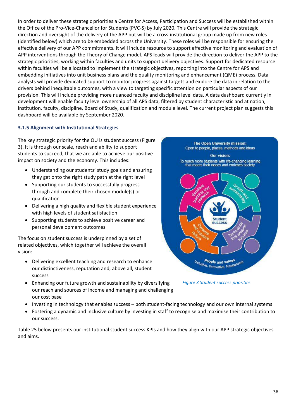In order to deliver these strategic priorities a Centre for Access, Participation and Success will be established within the Office of the Pro-Vice-Chancellor for Students (PVC-S) by July 2020. This Centre will provide the strategic direction and oversight of the delivery of the APP but will be a cross-institutional group made up from new roles (identified below) which are to be embedded across the University. These roles will be responsible for ensuring the effective delivery of our APP commitments. It will include resource to support effective monitoring and evaluation of APP interventions through the Theory of Change model. APS leads will provide the direction to deliver the APP to the strategic priorities, working within faculties and units to support delivery objectives. Support for dedicated resource within faculties will be allocated to implement the strategic objectives, reporting into the Centre for APS and embedding initiatives into unit business plans and the quality monitoring and enhancement (QME) process. Data analysts will provide dedicated support to monitor progress against targets and explore the data in relation to the drivers behind inequitable outcomes, with a view to targeting specific attention on particular aspects of our provision. This will include providing more nuanced faculty and discipline level data. A data dashboard currently in development will enable faculty level ownership of all APS data, filtered by student characteristic and at nation, institution, faculty, discipline, Board of Study, qualification and module level. The current project plan suggests this dashboard will be available by September 2020.

#### **3.1.5 Alignment with Institutional Strategies**

The key strategic priority for the OU is student success (Figure 3). It is through our scale, reach and ability to support students to succeed, that we are able to achieve our positive impact on society and the economy. This includes:

- Understanding our students' study goals and ensuring they get onto the right study path at the right level
- Supporting our students to successfully progress through and complete their chosen module(s) or qualification
- Delivering a high quality and flexible student experience with high levels of student satisfaction
- Supporting students to achieve positive career and personal development outcomes

The focus on student success is underpinned by a set of related objectives, which together will achieve the overall vision:

- Delivering excellent teaching and research to enhance our distinctiveness, reputation and, above all, student success
- Enhancing our future growth and sustainability by diversifying our reach and sources of income and managing and challenging our cost base
- Investing in technology that enables success both student-facing technology and our own internal systems
- Fostering a dynamic and inclusive culture by investing in staff to recognise and maximise their contribution to our success.

Table 25 below presents our institutional student success KPIs and how they align with our APP strategic objectives and aims.



*Figure 3 Student success priorities*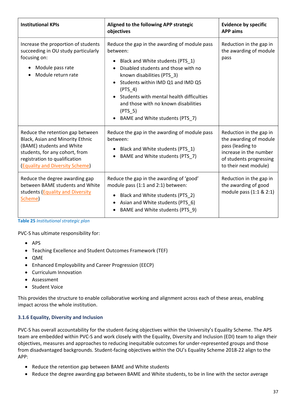| <b>Institutional KPIs</b>                                                                                                                                                                                      | Aligned to the following APP strategic<br>objectives                                                                                                                                                                                                                                                                                                             | <b>Evidence by specific</b><br><b>APP</b> aims                                                                                                      |
|----------------------------------------------------------------------------------------------------------------------------------------------------------------------------------------------------------------|------------------------------------------------------------------------------------------------------------------------------------------------------------------------------------------------------------------------------------------------------------------------------------------------------------------------------------------------------------------|-----------------------------------------------------------------------------------------------------------------------------------------------------|
| Increase the proportion of students<br>succeeding in OU study particularly<br>focusing on:<br>Module pass rate<br>Module return rate                                                                           | Reduce the gap in the awarding of module pass<br>between:<br>Black and White students (PTS_1)<br>Disabled students and those with no<br>known disabilities (PTS_3)<br>Students within IMD Q1 and IMD Q5<br>(PTS 4)<br>Students with mental health difficulties<br>and those with no known disabilities<br>(PTS <sub>5</sub> )<br>BAME and White students (PTS_7) | Reduction in the gap in<br>the awarding of module<br>pass                                                                                           |
| Reduce the retention gap between<br>Black, Asian and Minority Ethnic<br>(BAME) students and White<br>students, for any cohort, from<br>registration to qualification<br><b>(Equality and Diversity Scheme)</b> | Reduce the gap in the awarding of module pass<br>between:<br>Black and White students (PTS 1)<br>$\bullet$<br>BAME and White students (PTS_7)                                                                                                                                                                                                                    | Reduction in the gap in<br>the awarding of module<br>pass (leading to<br>increase in the number<br>of students progressing<br>to their next module) |
| Reduce the degree awarding gap<br>between BAME students and White<br>students (Equality and Diversity<br>Scheme)                                                                                               | Reduce the gap in the awarding of 'good'<br>module pass (1:1 and 2:1) between:<br>Black and White students (PTS_2)<br>$\bullet$<br>Asian and White students (PTS_6)<br>BAME and White students (PTS_9)                                                                                                                                                           | Reduction in the gap in<br>the awarding of good<br>module pass (1:1 & 2:1)                                                                          |

**Table 25** *Institutional strategic plan*

PVC-S has ultimate responsibility for:

- APS
- Teaching Excellence and Student Outcomes Framework (TEF)
- QME
- Enhanced Employability and Career Progression (EECP)
- Curriculum Innovation
- Assessment
- Student Voice

This provides the structure to enable collaborative working and alignment across each of these areas, enabling impact across the whole institution.

#### **3.1.6 Equality, Diversity and Inclusion**

PVC-S has overall accountability for the student-facing objectives within the University's Equality Scheme. The APS team are embedded within PVC-S and work closely with the Equality, Diversity and Inclusion (EDI) team to align their objectives, measures and approaches to reducing inequitable outcomes for under-represented groups and those from disadvantaged backgrounds. Student-facing objectives within the OU's Equality Scheme 2018-22 align to the APP:

- Reduce the retention gap between BAME and White students
- Reduce the degree awarding gap between BAME and White students, to be in line with the sector average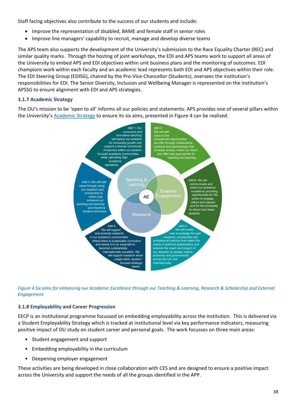Staff facing objectives also contribute to the success of our students and include:

- Improve the representation of disabled, BAME and female staff in senior roles
- Improve line managers' capability to recruit, manage and develop diverse teams

The APS team also supports the development of the University's submission to the Race Equality Charter (REC) and similar quality marks. Through the hosting of joint workshops, the EDI and APS teams work to support all areas of the University to embed APS and EDI objectives within unit business plans and the monitoring of outcomes. EDI champions work within each faculty and an academic lead represents both EDI and APS objectives within their role. The EDI Steering Group (EDISG), chaired by the Pro-Vice-Chancellor (Students), oversees the institution's responsibilities for EDI. The Senior Diversity, Inclusion and Wellbeing Manager is represented on the institution's APSSG to ensure alignment with EDI and APS strategies.

#### **3.1.7 Academic Strategy**

The OU's mission to be 'open to all' informs all our policies and statements. APS provides one of several pillars within the University's [Academic Strategy](http://www.open.ac.uk/about/main/sites/www.open.ac.uk.about.main/files/files/academic-strategy-2017.pdf) to ensure its six aims, presented in Figure 4 can be realised.



*Figure 4 Six aims for enhancing our Academic Excellence through our Teaching & Learning, Research & Scholarship and External Engagement*

#### **3.1.8 Employability and Career Progression**

EECP is an institutional programme focussed on embedding employability across the institution. This is delivered via a Student Employability Strategy which is tracked at institutional level via key performance indicators, measuring positive impact of OU study on student career and personal goals. The work focusses on three main areas:

- Student engagement and support
- Embedding employability in the curriculum
- Deepening employer engagement

These activities are being developed in close collaboration with CES and are designed to ensure a positive impact across the University and support the needs of all the groups identified in the APP.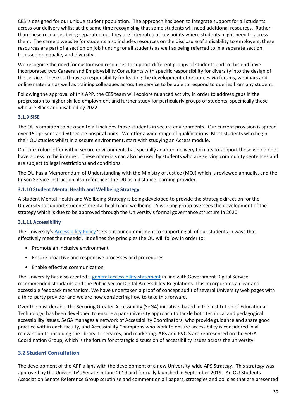CES is designed for our unique student population. The approach has been to integrate support for all students across our delivery whilst at the same time recognising that some students will need additional resources. Rather than these resources being separated out they are integrated at key points where students might need to access them. The careers website for students also includes resources on the disclosure of a disability to employers; these resources are part of a section on job hunting for all students as well as being referred to in a separate section focussed on equality and diversity.

We recognise the need for customised resources to support different groups of students and to this end have incorporated two Careers and Employability Consultants with specific responsibility for diversity into the design of the service. These staff have a responsibility for leading the development of resources via forums, webinars and online materials as well as training colleagues across the service to be able to respond to queries from any student.

Following the approval of this APP, the CES team will explore nuanced activity in order to address gaps in the progression to higher skilled employment and further study for particularly groups of students, specifically those who are Black and disabled by 2022.

#### **3.1.9 SiSE**

The OU's ambition to be open to all includes those students in secure environments. Our current provision is spread over 150 prisons and 50 secure hospital units. We offer a wide range of qualifications. Most students who begin their OU studies whilst in a secure environment, start with studying an Access module.

Our curriculum offer within secure environments has specially adapted delivery formats to support those who do not have access to the internet. These materials can also be used by students who are serving community sentences and are subject to legal restrictions and conditions.

The OU has a Memorandum of Understanding with the Ministry of Justice (MOJ) which is reviewed annually, and the Prison Service Instruction also references the OU as a distance learning provider.

#### **3.1.10 Student Mental Health and Wellbeing Strategy**

A Student Mental Health and Wellbeing Strategy is being developed to provide the strategic direction for the University to support students' mental health and wellbeing. A working group oversees the development of the strategy which is due to be approved through the University's formal governance structure in 2020.

#### **3.1.11 Accessibility**

The University's [Accessibility Policy](https://help.open.ac.uk/documents/policies/accessibility/files/42/student-accessibility-policy.pdf) 'sets out our commitment to supporting all of our students in ways that effectively meet their needs'. It defines the principles the OU will follow in order to:

- Promote an inclusive environment
- Ensure proactive and responsive processes and procedures
- Enable effective communication

The University has also created a [general accessibility statement](http://www.open.ac.uk/about/main/strategy-and-policies/policies-and-statements/website-accessibility-open-university) in line with Government Digital Service recommended standards and the Public Sector Digital Accessibility Regulations. This incorporates a clear and accessible feedback mechanism. We have undertaken a proof of concept audit of several University web pages with a third-party provider and we are now considering how to take this forward.

Over the past decade, the Securing Greater Accessibility (SeGA) initiative, based in the Institution of Educational Technology, has been developed to ensure a pan-university approach to tackle both technical and pedagogical accessibility issues. SeGA manages a network of Accessibility Coordinators, who provide guidance and share good practice within each faculty, and Accessibility Champions who work to ensure accessibility is considered in all relevant units, including the library, IT services, and marketing. APS and PVC-S are represented on the SeGA Coordination Group, which is the forum for strategic discussion of accessibility issues across the university.

#### <span id="page-38-0"></span>**3.2 Student Consultation**

The development of the APP aligns with the development of a new University-wide APS Strategy. This strategy was approved by the University's Senate in June 2019 and formally launched in September 2019. An OU Students Association Senate Reference Group scrutinise and comment on all papers, strategies and policies that are presented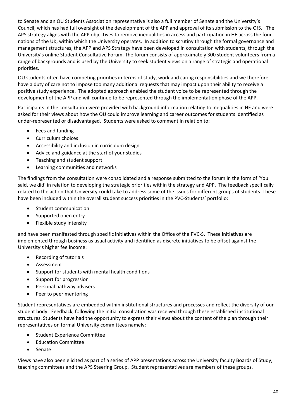to Senate and an OU Students Association representative is also a full member of Senate and the University's Council, which has had full oversight of the development of the APP and approval of its submission to the OfS. The APS strategy aligns with the APP objectives to remove inequalities in access and participation in HE across the four nations of the UK, within which the University operates. In addition to scrutiny through the formal governance and management structures, the APP and APS Strategy have been developed in consultation with students, through the University's online Student Consultative Forum. The forum consists of approximately 300 student volunteers from a range of backgrounds and is used by the University to seek student views on a range of strategic and operational priorities.

OU students often have competing priorities in terms of study, work and caring responsibilities and we therefore have a duty of care not to impose too many additional requests that may impact upon their ability to receive a positive study experience. The adopted approach enabled the student voice to be represented through the development of the APP and will continue to be represented through the implementation phase of the APP.

Participants in the consultation were provided with background information relating to inequalities in HE and were asked for their views about how the OU could improve learning and career outcomes for students identified as under-represented or disadvantaged. Students were asked to comment in relation to:

- Fees and funding
- Curriculum choices
- Accessibility and inclusion in curriculum design
- Advice and guidance at the start of your studies
- Teaching and student support
- Learning communities and networks

The findings from the consultation were consolidated and a response submitted to the forum in the form of 'You said, we did' in relation to developing the strategic priorities within the strategy and APP. The feedback specifically related to the action that University could take to address some of the issues for different groups of students. These have been included within the overall student success priorities in the PVC-Students' portfolio:

- Student communication
- Supported open entry
- Flexible study intensity

and have been manifested through specific initiatives within the Office of the PVC-S. These initiatives are implemented through business as usual activity and identified as discrete initiatives to be offset against the University's higher fee income:

- Recording of tutorials
- Assessment
- Support for students with mental health conditions
- Support for progression
- Personal pathway advisers
- Peer to peer mentoring

Student representatives are embedded within institutional structures and processes and reflect the diversity of our student body. Feedback, following the initial consultation was received through these established institutional structures. Students have had the opportunity to express their views about the content of the plan through their representatives on formal University committees namely:

- Student Experience Committee
- Education Committee
- Senate

Views have also been elicited as part of a series of APP presentations across the University faculty Boards of Study, teaching committees and the APS Steering Group. Student representatives are members of these groups.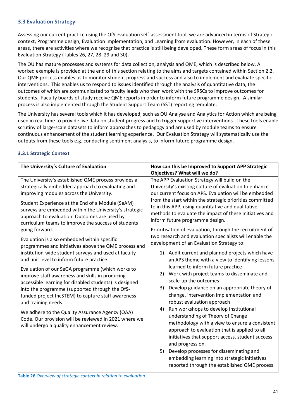#### <span id="page-40-0"></span>**3.3 Evaluation Strategy**

Assessing our current practice using the OfS evaluation self-assessment tool, we are advanced in terms of Strategic context, Programme design, Evaluation implementation, and Learning from evaluation. However, in each of these areas, there are activities where we recognise that practice is still being developed. These form areas of focus in this Evaluation Strategy (Tables 26, 27, 28 ,29 and 30).

The OU has mature processes and systems for data collection, analysis and QME, which is described below. A worked example is provided at the end of this section relating to the aims and targets contained within Section 2.2. Our QME process enables us to monitor student progress and success and also to implement and evaluate specific interventions. This enables us to respond to issues identified through the analysis of quantitative data, the outcomes of which are communicated to faculty leads who then work with the SRSCs to improve outcomes for students. Faculty boards of study receive QME reports in order to inform future programme design. A similar process is also implemented through the Student Support Team (SST) reporting template.

The University has several tools which it has developed, such as OU Analyse and Analytics for Action which are being used in real time to provide live data on student progress and to trigger supportive interventions. These tools enable scrutiny of large-scale datasets to inform approaches to pedagogy and are used by module teams to ensure continuous enhancement of the student learning experience. Our Evaluation Strategy will systematically use the outputs from these tools e.g. conducting sentiment analysis, to inform future programme design.

#### **The University's Culture of Evaluation How can this be Improved to Support APP Strategic Objectives? What will we do?** The University's established QME process provides a strategically embedded approach to evaluating and improving modules across the University. Student Experience at the End of a Module (SeAM) surveys are embedded within the University's strategic approach to evaluation. Outcomes are used by curriculum teams to improve the success of students going forward. Evaluation is also embedded within specific programmes and initiatives above the QME process and institution-wide student surveys and used at faculty and unit level to inform future practice. The APP Evaluation Strategy will build on the University's existing culture of evaluation to enhance our current focus on APS. Evaluation will be embedded from the start within the strategic priorities committed to in this APP, using quantitative and qualitative methods to evaluate the impact of these initiatives and inform future programme design. Prioritisation of evaluation, through the recruitment of two research and evaluation specialists will enable the development of an Evaluation Strategy to: 1) Audit current and planned projects which have an APS theme with a view to identifying lessons learned to inform future practice 2) Work with project teams to disseminate and scale-up the outcomes 3) Develop guidance on an appropriate theory of change, intervention implementation and robust evaluation approach

#### **3.3.1 Strategic Context**

Evaluation of our SeGA programme (which works to improve staff awareness and skills in producing accessible learning for disabled students) is designed into the programme (supported through the OfSfunded project IncSTEM) to capture staff awareness and training needs

We adhere to the Quality Assurance Agency (QAA) Code. Our provision will be reviewed in 2021 where we will undergo a quality enhancement review.

4) Run workshops to develop institutional understanding of Theory of Change methodology with a view to ensure a consistent approach to evaluation that is applied to all initiatives that support access, student success and progression.

5) Develop processes for disseminating and embedding learning into strategic initiatives reported through the established QME process

**Table 26** *Overview of strategic context in relation to evaluation*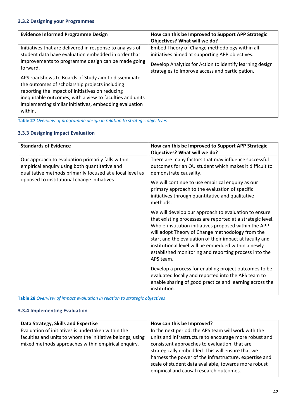#### **3.3.2 Designing your Programmes**

| <b>Evidence Informed Programme Design</b>                                                                                                                                                                                                                                                 | How can this be Improved to Support APP Strategic<br>Objectives? What will we do?                                                                            |
|-------------------------------------------------------------------------------------------------------------------------------------------------------------------------------------------------------------------------------------------------------------------------------------------|--------------------------------------------------------------------------------------------------------------------------------------------------------------|
| Initiatives that are delivered in response to analysis of<br>student data have evaluation embedded in order that<br>improvements to programme design can be made going<br>forward.                                                                                                        | Embed Theory of Change methodology within all<br>initiatives aimed at supporting APP objectives.<br>Develop Analytics for Action to identify learning design |
| APS roadshows to Boards of Study aim to disseminate<br>the outcomes of scholarship projects including<br>reporting the impact of initiatives on reducing<br>inequitable outcomes, with a view to faculties and units<br>implementing similar initiatives, embedding evaluation<br>within. | strategies to improve access and participation.                                                                                                              |

**Table 27** *Overview of programme design in relation to strategic objectives*

#### **3.3.3 Designing Impact Evaluation**

| <b>Standards of Evidence</b>                                                                                                                                    | How can this be Improved to Support APP Strategic<br>Objectives? What will we do?                                                                                                                                                                                                                                                                                                                                       |
|-----------------------------------------------------------------------------------------------------------------------------------------------------------------|-------------------------------------------------------------------------------------------------------------------------------------------------------------------------------------------------------------------------------------------------------------------------------------------------------------------------------------------------------------------------------------------------------------------------|
| Our approach to evaluation primarily falls within<br>empirical enquiry using both quantitative and<br>qualitative methods primarily focused at a local level as | There are many factors that may influence successful<br>outcomes for an OU student which makes it difficult to<br>demonstrate causality.                                                                                                                                                                                                                                                                                |
| opposed to institutional change initiatives.                                                                                                                    | We will continue to use empirical enquiry as our<br>primary approach to the evaluation of specific<br>initiatives through quantitative and qualitative<br>methods.                                                                                                                                                                                                                                                      |
|                                                                                                                                                                 | We will develop our approach to evaluation to ensure<br>that existing processes are reported at a strategic level.<br>Whole-institution initiatives proposed within the APP<br>will adopt Theory of Change methodology from the<br>start and the evaluation of their impact at faculty and<br>institutional level will be embedded within a newly<br>established monitoring and reporting process into the<br>APS team. |
|                                                                                                                                                                 | Develop a process for enabling project outcomes to be<br>evaluated locally and reported into the APS team to<br>enable sharing of good practice and learning across the<br>institution.                                                                                                                                                                                                                                 |

**Table 28** *Overview of impact evaluation in relation to strategic objectives*

#### **3.3.4 Implementing Evaluation**

| Data Strategy, Skills and Expertise                       | How can this be Improved?                              |
|-----------------------------------------------------------|--------------------------------------------------------|
| Evaluation of initiatives is undertaken within the        | In the next period, the APS team will work with the    |
| faculties and units to whom the initiative belongs, using | units and infrastructure to encourage more robust and  |
| mixed methods approaches within empirical enquiry.        | consistent approaches to evaluation, that are          |
|                                                           | strategically embedded. This will ensure that we       |
|                                                           | harness the power of the infrastructure, expertise and |
|                                                           | scale of student data available, towards more robust   |
|                                                           | empirical and causal research outcomes.                |
|                                                           |                                                        |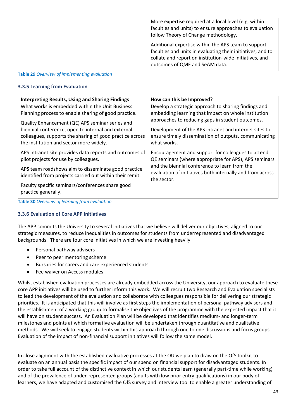| More expertise required at a local level (e.g. within<br>faculties and units) to ensure approaches to evaluation<br>follow Theory of Change methodology.                                                        |
|-----------------------------------------------------------------------------------------------------------------------------------------------------------------------------------------------------------------|
| Additional expertise within the APS team to support<br>faculties and units in evaluating their initiatives, and to<br>collate and report on institution-wide initiatives, and<br>outcomes of QME and SeAM data. |

**Table 29** *Overview of implementing evaluation*

#### **3.3.5 Learning from Evaluation**

| <b>Interpreting Results, Using and Sharing Findings</b>  | How can this be Improved?                                 |
|----------------------------------------------------------|-----------------------------------------------------------|
| What works is embedded within the Unit Business          | Develop a strategic approach to sharing findings and      |
| Planning process to enable sharing of good practice.     | embedding learning that impact on whole institution       |
| Quality Enhancement (QE) APS seminar series and          | approaches to reducing gaps in student outcomes.          |
| biennial conference, open to internal and external       | Development of the APS intranet and internet sites to     |
| colleagues, supports the sharing of good practice across | ensure timely dissemination of outputs, communicating     |
| the institution and sector more widely.                  | what works.                                               |
| APS intranet site provides data reports and outcomes of  | Encouragement and support for colleagues to attend        |
| pilot projects for use by colleagues.                    | QE seminars (where appropriate for APS), APS seminars     |
| APS team roadshows aim to disseminate good practice      | and the biennial conference to learn from the             |
| identified from projects carried out within their remit. | evaluation of initiatives both internally and from across |
|                                                          | the sector.                                               |
| Faculty specific seminars/conferences share good         |                                                           |
| practice generally.                                      |                                                           |

**Table 30** *Overview of learning from evaluation*

#### **3.3.6 Evaluation of Core APP Initiatives**

The APP commits the University to several initiatives that we believe will deliver our objectives, aligned to our strategic measures, to reduce inequalities in outcomes for students from underrepresented and disadvantaged backgrounds. There are four core initiatives in which we are investing heavily:

- Personal pathway advisers
- Peer to peer mentoring scheme
- Bursaries for carers and care experienced students
- Fee waiver on Access modules

Whilst established evaluation processes are already embedded across the University, our approach to evaluate these core APP initiatives will be used to further inform this work. We will recruit two Research and Evaluation specialists to lead the development of the evaluation and collaborate with colleagues responsible for delivering our strategic priorities. It is anticipated that this will involve as first steps the implementation of personal pathway advisers and the establishment of a working group to formalise the objectives of the programme with the expected impact that it will have on student success. An Evaluation Plan will be developed that identifies medium- and longer-term milestones and points at which formative evaluation will be undertaken through quantitative and qualitative methods. We will seek to engage students within this approach through one to one discussions and focus groups. Evaluation of the impact of non-financial support initiatives will follow the same model.

In close alignment with the established evaluative processes at the OU we plan to draw on the OfS toolkit to evaluate on an annual basis the specific impact of our spend on financial support for disadvantaged students. In order to take full account of the distinctive context in which our students learn (generally part-time while working) and of the prevalence of under-represented groups (adults with low prior entry qualifications) in our body of learners, we have adapted and customised the OfS survey and interview tool to enable a greater understanding of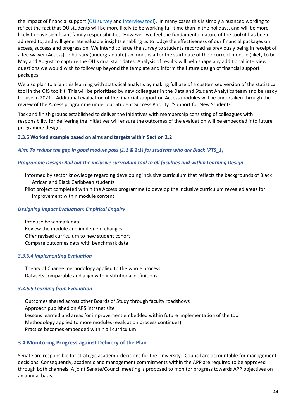the impact of financial support [\(OU survey](http://www.open.ac.uk/about/wideningparticipation/sites/www.open.ac.uk.about.wideningparticipation/files/files/OU%20financial-support-evaluation-toolkit-survey-questions.docx) and [interview tool\)](http://www.open.ac.uk/about/wideningparticipation/sites/www.open.ac.uk.about.wideningparticipation/files/files/financial-support-evaluation-toolkit-interview-questions.pdf). In many cases this is simply a nuanced wording to reflect the fact that OU students will be more likely to be working full-time than in the holidays, and will be more likely to have significant family responsibilities. However, we feel the fundamental nature of the toolkit has been adhered to, and will generate valuable insights enabling us to judge the effectiveness of our financial packages on access, success and progression. We intend to issue the survey to students recorded as previously being in receipt of a fee waiver (Access) or bursary (undergraduate) six months after the start date of their current module (likely to be May and August to capture the OU's dual start dates. Analysis of results will help shape any additional interview questions we would wish to follow up beyond the template and inform the future design of financial support packages.

We also plan to align this learning with statistical analysis by making full use of a customised version of the statistical tool in the OfS toolkit. This will be prioritised by new colleagues in the Data and Student Analytics team and be ready for use in 2021. Additional evaluation of the financial support on Access modules will be undertaken through the review of the Access programme under our Student Success Priority: 'Support for New Students'.

Task and finish groups established to deliver the initiatives with membership consisting of colleagues with responsibility for delivering the initiatives will ensure the outcomes of the evaluation will be embedded into future programme design.

#### **3.3.6 Worked example based on aims and targets within Section 2.2**

#### *Aim: To reduce the gap in good module pass (1:1 & 2:1) for students who are Black (PTS\_1)*

#### *Programme Design: Roll out the inclusive curriculum tool to all faculties and within Learning Design*

Informed by sector knowledge regarding developing inclusive curriculum that reflects the backgrounds of Black African and Black Caribbean students

Pilot project completed within the Access programme to develop the inclusive curriculum revealed areas for improvement within module content

#### *Designing Impact Evaluation: Empirical Enquiry*

Produce benchmark data Review the module and implement changes Offer revised curriculum to new student cohort Compare outcomes data with benchmark data

#### *3.3.6.4 Implementing Evaluation*

Theory of Change methodology applied to the whole process Datasets comparable and align with institutional definitions

#### *3.3.6.5 Learning from Evaluation*

Outcomes shared across other Boards of Study through faculty roadshows Approach published on APS intranet site Lessons learned and areas for improvement embedded within future implementation of the tool Methodology applied to more modules (evaluation process continues) Practice becomes embedded within all curriculum

#### <span id="page-43-0"></span>**3.4 Monitoring Progress against Delivery of the Plan**

Senate are responsible for strategic academic decisions for the University. Council are accountable for management decisions. Consequently, academic and management commitments within the APP are required to be approved through both channels. A joint Senate/Council meeting is proposed to monitor progress towards APP objectives on an annual basis.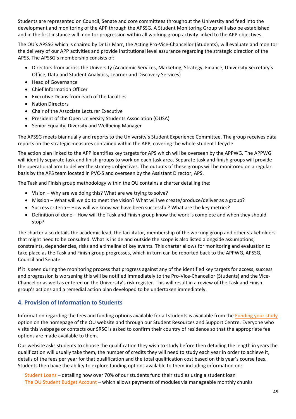Students are represented on Council, Senate and core committees throughout the University and feed into the development and monitoring of the APP through the APSSG. A Student Monitoring Group will also be established and in the first instance will monitor progression within all working group activity linked to the APP objectives.

The OU's APSSG which is chaired by Dr Liz Marr, the Acting Pro-Vice-Chancellor (Students), will evaluate and monitor the delivery of our APP activities and provide institutional level assurance regarding the strategic direction of the APSS. The APSSG's membership consists of:

- Directors from across the University (Academic Services, Marketing, Strategy, Finance, University Secretary's Office, Data and Student Analytics, Learner and Discovery Services)
- Head of Governance
- Chief Information Officer
- Executive Deans from each of the faculties
- Nation Directors
- Chair of the Associate Lecturer Executive
- President of the Open University Students Association (OUSA)
- Senior Equality, Diversity and Wellbeing Manager

The APSSG meets biannually and reports to the University's Student Experience Committee. The group receives data reports on the strategic measures contained within the APP, covering the whole student lifecycle.

The action plan linked to the APP identifies key targets for APS which will be overseen by the APPWG. The APPWG will identify separate task and finish groups to work on each task area. Separate task and finish groups will provide the operational arm to deliver the strategic objectives. The outputs of these groups will be monitored on a regular basis by the APS team located in PVC-S and overseen by the Assistant Director, APS.

The Task and Finish group methodology within the OU contains a charter detailing the:

- Vision Why are we doing this? What are we trying to solve?
- Mission What will we do to meet the vision? What will we create/produce/deliver as a group?
- Success criteria How will we know we have been successful? What are the key metrics?
- Definition of done How will the Task and Finish group know the work is complete and when they should stop?

The charter also details the academic lead, the facilitator, membership of the working group and other stakeholders that might need to be consulted. What is inside and outside the scope is also listed alongside assumptions, constraints, dependencies, risks and a timeline of key events. This charter allows for monitoring and evaluation to take place as the Task and Finish group progresses, which in turn can be reported back to the APPWG, APSSG, Council and Senate.

If it is seen during the monitoring process that progress against any of the identified key targets for access, success and progression is worsening this will be notified immediately to the Pro-Vice-Chancellor (Students) and the Vice-Chancellor as well as entered on the University's risk register. This will result in a review of the Task and Finish group's actions and a remedial action plan developed to be undertaken immediately.

#### <span id="page-44-0"></span>**4. Provision of Information to Students**

Information regarding the fees and funding options available for all students is available from the [Funding your study](http://www.open.ac.uk/courses/fees-and-funding) option on the homepage of the OU website and through our Student Resources and Support Centre. Everyone who visits this webpage or contacts our SRSC is asked to confirm their country of residence so that the appropriate fee options are made available to them.

Our website asks students to choose the qualification they wish to study before then detailing the length in years the qualification will usually take them, the number of credits they will need to study each year in order to achieve it, details of the fees per year for that qualification and the total qualification cost based on this year's course fees. Students then have the ability to explore funding options available to them including information on:

[Student Loans](http://www.open.ac.uk/courses/fees-and-funding/loan-england-finance) – detailing how over 70% of our students fund their studies using a student loan [The OU Student Budget Account](http://www.open.ac.uk/courses/fees-and-funding/ousba) – which allows payments of modules via manageable monthly chunks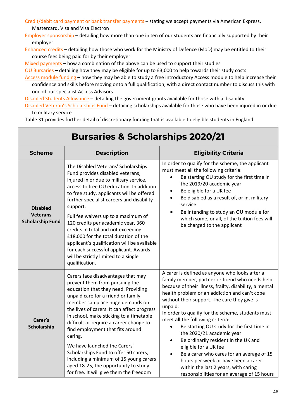[Credit/debit card payment or bank transfer payments](http://www.open.ac.uk/courses/fees-and-funding/credit-debit-card) – stating we accept payments via American Express,

#### Mastercard, Visa and Visa Electron

[Employer sponsorship](http://www.open.ac.uk/courses/fees-and-funding/employer-sponsorship) – detailing how more than one in ten of our students are financially supported by their employer

[Enhanced credits](http://www.open.ac.uk/courses/fees-and-funding/enhanced-learning-credits) – detailing how those who work for the Ministry of Defence (MoD) may be entitled to their course fees being paid for by their employer

[Mixed payments](http://www.open.ac.uk/courses/fees-and-funding/mixed-payments) – how a combination of the above can be used to support their studies

[OU Bursaries](http://www.open.ac.uk/courses/choose/bursary) – detailing how they may be eligible for up to £3,000 to help towards their study costs

[Access module funding](http://www.open.ac.uk/courses/do-it/access) – how they may be able to study a free introductory Access module to help increase their confidence and skills before moving onto a full qualification, with a direct contact number to discuss this with one of our specialist Access Advisors

[Disabled Students Allowance](http://www.open.ac.uk/courses/do-it/disability) – detailing the government grants available for those with a disability

[Disabled Veteran's Scholarships Fund](http://www.open.ac.uk/courses/choose/veterans) - detailing scholarships available for those who have been injured in or due to military service

Table 31 provides further detail of discretionary funding that is available to eligible students in England.

| <b>Bursaries &amp; Scholarships 2020/21</b>                   |                                                                                                                                                                                                                                                                                                                                                                                                                                                                                                                                                                                   |                                                                                                                                                                                                                                                                                                                                                                                                                                                                                                                                                                                                                                                                                                                    |  |
|---------------------------------------------------------------|-----------------------------------------------------------------------------------------------------------------------------------------------------------------------------------------------------------------------------------------------------------------------------------------------------------------------------------------------------------------------------------------------------------------------------------------------------------------------------------------------------------------------------------------------------------------------------------|--------------------------------------------------------------------------------------------------------------------------------------------------------------------------------------------------------------------------------------------------------------------------------------------------------------------------------------------------------------------------------------------------------------------------------------------------------------------------------------------------------------------------------------------------------------------------------------------------------------------------------------------------------------------------------------------------------------------|--|
| <b>Scheme</b>                                                 | <b>Description</b>                                                                                                                                                                                                                                                                                                                                                                                                                                                                                                                                                                | <b>Eligibility Criteria</b>                                                                                                                                                                                                                                                                                                                                                                                                                                                                                                                                                                                                                                                                                        |  |
| <b>Disabled</b><br><b>Veterans</b><br><b>Scholarship Fund</b> | The Disabled Veterans' Scholarships<br>Fund provides disabled veterans,<br>injured in or due to military service,<br>access to free OU education. In addition<br>to free study, applicants will be offered<br>further specialist careers and disability<br>support.<br>Full fee waivers up to a maximum of<br>120 credits per academic year, 360<br>credits in total and not exceeding<br>£18,000 for the total duration of the<br>applicant's qualification will be available<br>for each successful applicant. Awards<br>will be strictly limited to a single<br>qualification. | In order to qualify for the scheme, the applicant<br>must meet all the following criteria:<br>Be starting OU study for the first time in<br>the 2019/20 academic year<br>Be eligible for a UK fee<br>$\bullet$<br>Be disabled as a result of, or in, military<br>$\bullet$<br>service<br>Be intending to study an OU module for<br>which some, or all, of the tuition fees will<br>be charged to the applicant                                                                                                                                                                                                                                                                                                     |  |
| Carer's<br>Scholarship                                        | Carers face disadvantages that may<br>prevent them from pursuing the<br>education that they need. Providing<br>unpaid care for a friend or family<br>member can place huge demands on<br>the lives of carers. It can affect progress<br>in school, make sticking to a timetable<br>difficult or require a career change to<br>find employment that fits around<br>caring.<br>We have launched the Carers'<br>Scholarships Fund to offer 50 carers,<br>including a minimum of 15 young carers<br>aged 18-25, the opportunity to study<br>for free. It will give them the freedom   | A carer is defined as anyone who looks after a<br>family member, partner or friend who needs help<br>because of their illness, frailty, disability, a mental<br>health problem or an addiction and can't cope<br>without their support. The care they give is<br>unpaid.<br>In order to qualify for the scheme, students must<br>meet all the following criteria:<br>Be starting OU study for the first time in<br>the 2020/21 academic year<br>Be ordinarily resident in the UK and<br>$\bullet$<br>eligible for a UK fee<br>Be a carer who cares for an average of 15<br>$\bullet$<br>hours per week or have been a carer<br>within the last 2 years, with caring<br>responsibilities for an average of 15 hours |  |

# **Bursaries & Scholarships 2020/21**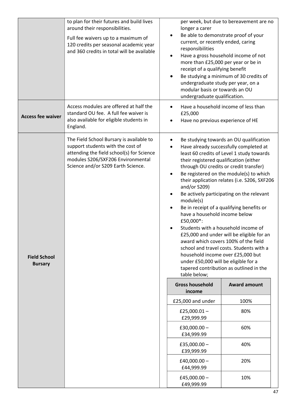|                                       | to plan for their futures and build lives<br>around their responsibilities.<br>Full fee waivers up to a maximum of<br>120 credits per seasonal academic year<br>and 360 credits in total will be available | longer a carer<br>current, or recently ended, caring<br>responsibilities<br>٠<br>more than £25,000 per year or be in<br>receipt of a qualifying benefit<br>٠<br>undergraduate study per year, on a<br>modular basis or towards an OU<br>undergraduate qualification. | per week, but due to bereavement are no<br>Be able to demonstrate proof of your<br>Have a gross household income of not<br>Be studying a minimum of 30 credits of                                                                                                                                                                                                                                                                                                                                                                                                                |
|---------------------------------------|------------------------------------------------------------------------------------------------------------------------------------------------------------------------------------------------------------|----------------------------------------------------------------------------------------------------------------------------------------------------------------------------------------------------------------------------------------------------------------------|----------------------------------------------------------------------------------------------------------------------------------------------------------------------------------------------------------------------------------------------------------------------------------------------------------------------------------------------------------------------------------------------------------------------------------------------------------------------------------------------------------------------------------------------------------------------------------|
| <b>Access fee waiver</b>              | Access modules are offered at half the<br>standard OU fee. A full fee waiver is<br>also available for eligible students in<br>England.                                                                     | £25,000<br>Have no previous experience of HE<br>٠                                                                                                                                                                                                                    | Have a household income of less than                                                                                                                                                                                                                                                                                                                                                                                                                                                                                                                                             |
| <b>Field School</b><br><b>Bursary</b> | The Field School Bursary is available to<br>support students with the cost of<br>attending the field school(s) for Science<br>modules S206/SXF206 Environmental<br>Science and/or S209 Earth Science.      | ٠<br>their registered qualification (either<br>and/or S209)<br>module(s)<br>$\bullet$<br>have a household income below<br>£50,000*:<br>household income over £25,000 but<br>under £50,000 will be eligible for a<br>table below;                                     | Be studying towards an OU qualification<br>Have already successfully completed at<br>least 60 credits of Level 1 study towards<br>through OU credits or credit transfer)<br>Be registered on the module(s) to which<br>their application relates (i.e. S206, SXF206<br>Be actively participating on the relevant<br>Be in receipt of a qualifying benefits or<br>Students with a household income of<br>£25,000 and under will be eligible for an<br>award which covers 100% of the field<br>school and travel costs. Students with a<br>tapered contribution as outlined in the |
|                                       |                                                                                                                                                                                                            | <b>Gross household</b><br>income                                                                                                                                                                                                                                     | <b>Award amount</b>                                                                                                                                                                                                                                                                                                                                                                                                                                                                                                                                                              |
|                                       |                                                                                                                                                                                                            | £25,000 and under                                                                                                                                                                                                                                                    | 100%                                                                                                                                                                                                                                                                                                                                                                                                                                                                                                                                                                             |
|                                       |                                                                                                                                                                                                            | £25,000.01 $-$<br>£29,999.99                                                                                                                                                                                                                                         | 80%                                                                                                                                                                                                                                                                                                                                                                                                                                                                                                                                                                              |
|                                       |                                                                                                                                                                                                            | $£30,000.00-$<br>£34,999.99                                                                                                                                                                                                                                          | 60%                                                                                                                                                                                                                                                                                                                                                                                                                                                                                                                                                                              |
|                                       |                                                                                                                                                                                                            | £35,000.00 $-$<br>£39,999.99                                                                                                                                                                                                                                         | 40%                                                                                                                                                                                                                                                                                                                                                                                                                                                                                                                                                                              |
|                                       |                                                                                                                                                                                                            | $E40,000.00 -$<br>£44,999.99                                                                                                                                                                                                                                         | 20%                                                                                                                                                                                                                                                                                                                                                                                                                                                                                                                                                                              |
|                                       |                                                                                                                                                                                                            | £45,000.00 $-$<br>£49,999.99                                                                                                                                                                                                                                         | 10%                                                                                                                                                                                                                                                                                                                                                                                                                                                                                                                                                                              |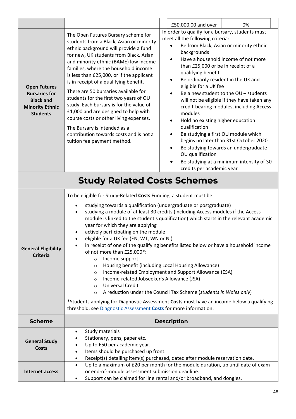|                                                                                                              |                                                                                                                                                                                                                                                                                                                                                                                                                                                                                                                                                                                                                                                                                                                                                                                                                                                                                                                                                                                                                                | 0%<br>£50,000.00 and over                                                                                                                                                                                                                                                                                                                                                                                                                                                                                                                                                                                                                                                                                                                                                                                   |  |  |  |  |  |  |  |
|--------------------------------------------------------------------------------------------------------------|--------------------------------------------------------------------------------------------------------------------------------------------------------------------------------------------------------------------------------------------------------------------------------------------------------------------------------------------------------------------------------------------------------------------------------------------------------------------------------------------------------------------------------------------------------------------------------------------------------------------------------------------------------------------------------------------------------------------------------------------------------------------------------------------------------------------------------------------------------------------------------------------------------------------------------------------------------------------------------------------------------------------------------|-------------------------------------------------------------------------------------------------------------------------------------------------------------------------------------------------------------------------------------------------------------------------------------------------------------------------------------------------------------------------------------------------------------------------------------------------------------------------------------------------------------------------------------------------------------------------------------------------------------------------------------------------------------------------------------------------------------------------------------------------------------------------------------------------------------|--|--|--|--|--|--|--|
| <b>Open Futures</b><br><b>Bursaries for</b><br><b>Black and</b><br><b>Minority Ethnic</b><br><b>Students</b> | The Open Futures Bursary scheme for<br>students from a Black, Asian or minority<br>ethnic background will provide a fund<br>for new, UK students from Black, Asian<br>and minority ethnic (BAME) low income<br>families, where the household income<br>is less than £25,000, or if the applicant<br>is in receipt of a qualifying benefit.<br>There are 50 bursaries available for<br>students for the first two years of OU<br>study. Each bursary is for the value of<br>£1,000 and are designed to help with<br>course costs or other living expenses.<br>The Bursary is intended as a<br>contribution towards costs and is not a<br>tuition fee payment method.                                                                                                                                                                                                                                                                                                                                                            | In order to qualify for a bursary, students must<br>meet all the following criteria:<br>Be from Black, Asian or minority ethnic<br>backgrounds<br>Have a household income of not more<br>$\bullet$<br>than £25,000 or be in receipt of a<br>qualifying benefit<br>Be ordinarily resident in the UK and<br>٠<br>eligible for a UK fee<br>Be a new student to the OU - students<br>$\bullet$<br>will not be eligible if they have taken any<br>credit-bearing modules, including Access<br>modules<br>Hold no existing higher education<br>$\bullet$<br>qualification<br>Be studying a first OU module which<br>٠<br>begins no later than 31st October 2020<br>Be studying towards an undergraduate<br>$\bullet$<br>OU qualification<br>Be studying at a minimum intensity of 30<br>credits per academic year |  |  |  |  |  |  |  |
|                                                                                                              | <b>Study Related Costs Schemes</b>                                                                                                                                                                                                                                                                                                                                                                                                                                                                                                                                                                                                                                                                                                                                                                                                                                                                                                                                                                                             |                                                                                                                                                                                                                                                                                                                                                                                                                                                                                                                                                                                                                                                                                                                                                                                                             |  |  |  |  |  |  |  |
| <b>General Eligibility</b><br><b>Criteria</b>                                                                | To be eligible for Study-Related Costs Funding, a student must be:<br>studying towards a qualification (undergraduate or postgraduate)<br>studying a module of at least 30 credits (including Access modules if the Access<br>module is linked to the student's qualification) which starts in the relevant academic<br>year for which they are applying<br>actively participating on the module<br>eligible for a UK fee (EN, WT, WN or NI)<br>in receipt of one of the qualifying benefits listed below or have a household income<br>$\bullet$<br>of not more than £25,000*:<br>Income support<br>$\circ$<br>Housing benefit (including Local Housing Allowance)<br>$\circ$<br>Income-related Employment and Support Allowance (ESA)<br>$\circ$<br>Income-related Jobseeker's Allowance (JSA)<br>$\circ$<br><b>Universal Credit</b><br>$\circ$<br>A reduction under the Council Tax Scheme (students in Wales only)<br>$\circ$<br>*Students applying for Diagnostic Assessment Costs must have an income below a qualifying |                                                                                                                                                                                                                                                                                                                                                                                                                                                                                                                                                                                                                                                                                                                                                                                                             |  |  |  |  |  |  |  |
| <b>Scheme</b>                                                                                                |                                                                                                                                                                                                                                                                                                                                                                                                                                                                                                                                                                                                                                                                                                                                                                                                                                                                                                                                                                                                                                | <b>Description</b>                                                                                                                                                                                                                                                                                                                                                                                                                                                                                                                                                                                                                                                                                                                                                                                          |  |  |  |  |  |  |  |
| <b>General Study</b><br><b>Costs</b>                                                                         | Study materials<br>$\bullet$<br>Stationery, pens, paper etc.<br>Up to £50 per academic year.<br>$\bullet$<br>Items should be purchased up front.<br>$\bullet$<br>Receipt(s) detailing item(s) purchased, dated after module reservation date.<br>٠                                                                                                                                                                                                                                                                                                                                                                                                                                                                                                                                                                                                                                                                                                                                                                             |                                                                                                                                                                                                                                                                                                                                                                                                                                                                                                                                                                                                                                                                                                                                                                                                             |  |  |  |  |  |  |  |
| Internet access                                                                                              | Up to a maximum of £20 per month for the module duration, up until date of exam<br>$\bullet$<br>or end-of-module assessment submission deadline.<br>Support can be claimed for line rental and/or broadband, and dongles.                                                                                                                                                                                                                                                                                                                                                                                                                                                                                                                                                                                                                                                                                                                                                                                                      |                                                                                                                                                                                                                                                                                                                                                                                                                                                                                                                                                                                                                                                                                                                                                                                                             |  |  |  |  |  |  |  |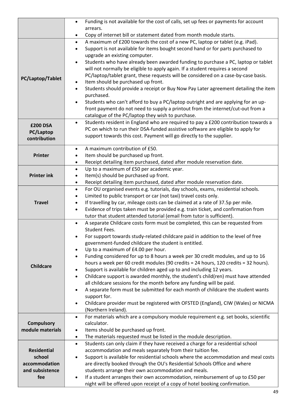|                    | Funding is not available for the cost of calls, set up fees or payments for account<br>$\bullet$                                                                       |
|--------------------|------------------------------------------------------------------------------------------------------------------------------------------------------------------------|
|                    | arrears.                                                                                                                                                               |
|                    | Copy of internet bill or statement dated from month module starts.<br>٠                                                                                                |
|                    | A maximum of £200 towards the cost of a new PC, laptop or tablet (e.g. iPad).<br>$\bullet$                                                                             |
|                    | Support is not available for items bought second hand or for parts purchased to                                                                                        |
|                    | upgrade an existing computer.                                                                                                                                          |
|                    | Students who have already been awarded funding to purchase a PC, laptop or tablet                                                                                      |
|                    | will not normally be eligible to apply again. If a student requires a second                                                                                           |
| PC/Laptop/Tablet   | PC/laptop/tablet grant, these requests will be considered on a case-by-case basis.                                                                                     |
|                    | Item should be purchased up front.                                                                                                                                     |
|                    | Students should provide a receipt or Buy Now Pay Later agreement detailing the item<br>$\bullet$                                                                       |
|                    | purchased.                                                                                                                                                             |
|                    | Students who can't afford to buy a PC/laptop outright and are applying for an up-                                                                                      |
|                    | front payment do not need to supply a printout from the internet/cut-out from a<br>catalogue of the PC/laptop they wish to purchase.                                   |
|                    | Students resident in England who are required to pay a £200 contribution towards a                                                                                     |
| <b>£200 DSA</b>    | $\bullet$<br>PC on which to run their DSA-funded assistive software are eligible to apply for                                                                          |
| PC/Laptop          | support towards this cost. Payment will go directly to the supplier.                                                                                                   |
| contribution       |                                                                                                                                                                        |
|                    | A maximum contribution of £50.                                                                                                                                         |
| Printer            | Item should be purchased up front.                                                                                                                                     |
|                    | Receipt detailing item purchased, dated after module reservation date.<br>$\bullet$                                                                                    |
|                    | Up to a maximum of £50 per academic year.<br>$\bullet$                                                                                                                 |
| <b>Printer ink</b> | Item(s) should be purchased up front.<br>٠                                                                                                                             |
|                    | Receipt detailing item purchased, dated after module reservation date.<br>$\bullet$                                                                                    |
|                    | For OU organised events e.g. tutorials, day schools, exams, residential schools.<br>$\bullet$                                                                          |
|                    | Limited to public transport or car (not taxi) travel costs only.<br>$\bullet$                                                                                          |
| <b>Travel</b>      | If travelling by car, mileage costs can be claimed at a rate of 37.5p per mile.<br>$\bullet$                                                                           |
|                    | Evidence of trips taken must be provided e.g. train ticket, and confirmation from<br>$\bullet$                                                                         |
|                    | tutor that student attended tutorial (email from tutor is sufficient).                                                                                                 |
|                    | A separate Childcare costs form must be completed, this can be requested from                                                                                          |
|                    | <b>Student Fees.</b>                                                                                                                                                   |
|                    | For support towards study-related childcare paid in addition to the level of free                                                                                      |
|                    | government-funded childcare the student is entitled.                                                                                                                   |
|                    | Up to a maximum of £4.00 per hour.                                                                                                                                     |
|                    | Funding considered for up to 8 hours a week per 30 credit modules, and up to 16                                                                                        |
| <b>Childcare</b>   | hours a week per 60 credit modules (90 credits = 24 hours, 120 credits = 32 hours).                                                                                    |
|                    | Support is available for children aged up to and including 12 years.<br>$\bullet$<br>Childcare support is awarded monthly, the student's child(ren) must have attended |
|                    | $\bullet$<br>all childcare sessions for the month before any funding will be paid.                                                                                     |
|                    | A separate form must be submitted for each month of childcare the student wants                                                                                        |
|                    | support for.                                                                                                                                                           |
|                    | Childcare provider must be registered with OFSTED (England), CIW (Wales) or NICMA                                                                                      |
|                    | (Northern Ireland).                                                                                                                                                    |
|                    | For materials which are a compulsory module requirement e.g. set books, scientific<br>$\bullet$                                                                        |
| <b>Compulsory</b>  | calculator.                                                                                                                                                            |
| module materials   | Items should be purchased up front.<br>٠                                                                                                                               |
|                    | The materials requested must be listed in the module description.<br>٠                                                                                                 |
|                    | Students can only claim if they have received a charge for a residential school<br>$\bullet$                                                                           |
| <b>Residential</b> | accommodation and meals separately from their tuition fee.                                                                                                             |
| school             | Support is available for residential schools where the accommodation and meal costs<br>$\bullet$                                                                       |
| accommodation      | are directly booked through the OU's Residential Schools Office and where                                                                                              |
| and subsistence    | students arrange their own accommodation and meals.                                                                                                                    |
| fee                | If a student arranges their own accommodation, reimbursement of up to £50 per<br>$\bullet$                                                                             |
|                    | night will be offered upon receipt of a copy of hotel booking confirmation.                                                                                            |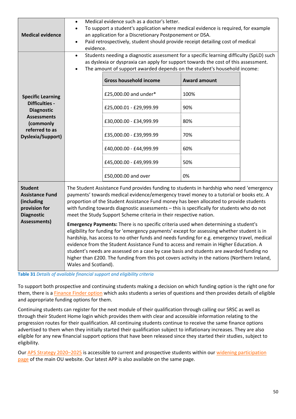| <b>Medical evidence</b>                                                                                                                                 | Medical evidence such as a doctor's letter.<br>To support a student's application where medical evidence is required, for example<br>an application for a Discretionary Postponement or DSA.<br>Paid retrospectively, student should provide receipt detailing cost of medical<br>evidence.                                                                                                                                                                                                                                                                                                                                                                                                                                                                                                                                                                                                                                                                                                                                                                 |                                                                                                                                                                                                                                                                                                                                                                                                                                                                                    |                                                                      |  |  |  |  |  |  |  |  |
|---------------------------------------------------------------------------------------------------------------------------------------------------------|-------------------------------------------------------------------------------------------------------------------------------------------------------------------------------------------------------------------------------------------------------------------------------------------------------------------------------------------------------------------------------------------------------------------------------------------------------------------------------------------------------------------------------------------------------------------------------------------------------------------------------------------------------------------------------------------------------------------------------------------------------------------------------------------------------------------------------------------------------------------------------------------------------------------------------------------------------------------------------------------------------------------------------------------------------------|------------------------------------------------------------------------------------------------------------------------------------------------------------------------------------------------------------------------------------------------------------------------------------------------------------------------------------------------------------------------------------------------------------------------------------------------------------------------------------|----------------------------------------------------------------------|--|--|--|--|--|--|--|--|
| <b>Specific Learning</b><br><b>Difficulties -</b><br><b>Diagnostic</b><br><b>Assessments</b><br>(commonly<br>referred to as<br><b>Dyslexia/Support)</b> |                                                                                                                                                                                                                                                                                                                                                                                                                                                                                                                                                                                                                                                                                                                                                                                                                                                                                                                                                                                                                                                             | Students needing a diagnostic assessment for a specific learning difficulty (SpLD) such<br>as dyslexia or dyspraxia can apply for support towards the cost of this assessment.<br>The amount of support awarded depends on the student's household income:<br><b>Gross household income</b><br>£25,000.00 and under*<br>£25,000.01 - £29,999.99<br>£30,000.00 - £34,999.99<br>£35,000.00 - £39,999.99<br>£40,000.00 - £44,999.99<br>£45,000.00 - £49,999.99<br>£50,000.00 and over | <b>Award amount</b><br>100%<br>90%<br>80%<br>70%<br>60%<br>50%<br>0% |  |  |  |  |  |  |  |  |
| <b>Student</b><br><b>Assistance Fund</b><br>(including<br>provision for<br><b>Diagnostic</b><br><b>Assessments)</b>                                     | The Student Assistance Fund provides funding to students in hardship who need 'emergency<br>payments' towards medical evidence/emergency travel money to a tutorial or books etc. A<br>proportion of the Student Assistance Fund money has been allocated to provide students<br>with funding towards diagnostic assessments - this is specifically for students who do not<br>meet the Study Support Scheme criteria in their respective nation.<br><b>Emergency Payments:</b> There is no specific criteria used when determining a student's<br>eligibility for funding for 'emergency payments' except for assessing whether student is in<br>hardship, has access to no other funds and needs funding for e.g. emergency travel, medical<br>evidence from the Student Assistance Fund to access and remain in Higher Education. A<br>student's needs are assessed on a case by case basis and students are awarded funding no<br>higher than £200. The funding from this pot covers activity in the nations (Northern Ireland,<br>Wales and Scotland). |                                                                                                                                                                                                                                                                                                                                                                                                                                                                                    |                                                                      |  |  |  |  |  |  |  |  |

**Table 31** *Details of available financial support and eligibility criteria*

To support both prospective and continuing students making a decision on which funding option is the right one for them, there is a [Finance Finder option](http://www.open.ac.uk/courses/fees-and-funding/finance-finder) which asks students a series of questions and then provides details of eligible and appropriate funding options for them.

Continuing students can register for the next module of their qualification through calling our SRSC as well as through their Student Home login which provides them with clear and accessible information relating to the progression routes for their qualification. All continuing students continue to receive the same finance options advertised to them when they initially started their qualification subject to inflationary increases. They are also eligible for any new financial support options that have been released since they started their studies, subject to eligibility.

Our [APS Strategy 2020](http://www.open.ac.uk/about/wideningparticipation/sites/www.open.ac.uk.about.wideningparticipation/files/files/APS%20Strategy.pdf)–2025 is accessible to current and prospective students within our [widening participation](http://www.open.ac.uk/about/wideningparticipation/)  [page](http://www.open.ac.uk/about/wideningparticipation/) of the main OU website. Our latest APP is also available on the same page.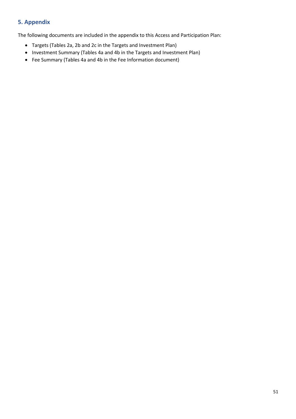### <span id="page-50-0"></span>**5. Appendix**

The following documents are included in the appendix to this Access and Participation Plan:

- Targets (Tables 2a, 2b and 2c in the Targets and Investment Plan)
- Investment Summary (Tables 4a and 4b in the Targets and Investment Plan)
- Fee Summary (Tables 4a and 4b in the Fee Information document)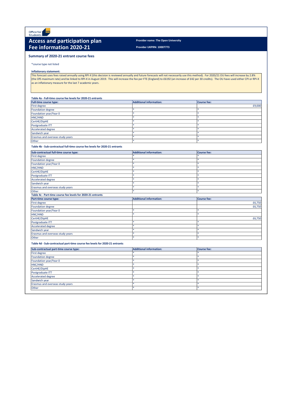**Provider UKPRN: 10007773**

\*course type not listed

## **Inflationary statement:**

## **Table 4a - Full-time course fee levels for 2020-21 entrants**

| <b>Full-time course type:</b>    | <b>Additional information:</b> | Course fee: |
|----------------------------------|--------------------------------|-------------|
| First degree                     |                                | £9,000      |
| Foundation degree                |                                |             |
| Foundation year/Year 0           |                                |             |
| HNC/HND                          |                                |             |
| CertHE/DipHE                     |                                |             |
| Postgraduate ITT                 |                                |             |
| Accelerated degree               |                                |             |
| Sandwich year                    |                                |             |
| Erasmus and overseas study years |                                |             |
| Other                            |                                |             |

### **Table 4b - Sub-contractual full-time course fee levels for 2020-21 entrants**



# **Access and participation plan** Provider name: The Open University **Fee information 2020-21**

| Sub-contractual full-time course type:                      | <b>Additional information:</b> | <b>Course fee:</b> |  |  |  |  |
|-------------------------------------------------------------|--------------------------------|--------------------|--|--|--|--|
| <b>First degree</b>                                         |                                |                    |  |  |  |  |
| <b>Foundation degree</b>                                    |                                |                    |  |  |  |  |
| Foundation year/Year 0                                      |                                |                    |  |  |  |  |
| HNC/HND                                                     |                                |                    |  |  |  |  |
| CertHE/DipHE                                                |                                |                    |  |  |  |  |
| Postgraduate ITT                                            |                                | *.                 |  |  |  |  |
| Accelerated degree                                          |                                |                    |  |  |  |  |
| Sandwich year                                               |                                |                    |  |  |  |  |
| Erasmus and overseas study years                            |                                |                    |  |  |  |  |
| <b>Other</b>                                                |                                | *.                 |  |  |  |  |
| Table 4c - Part-time course fee levels for 2020-21 entrants |                                |                    |  |  |  |  |
| <b>Part-time course type:</b>                               | <b>Additional information:</b> | <b>Course fee:</b> |  |  |  |  |
| First degree                                                |                                | £6,750             |  |  |  |  |
| Foundation degree                                           |                                | £6,750             |  |  |  |  |
| Foundation year/Year 0                                      |                                | *.                 |  |  |  |  |
| HNC/HND                                                     |                                |                    |  |  |  |  |
| CertHE/DipHE                                                |                                | £6,750             |  |  |  |  |
| Postgraduate ITT                                            |                                |                    |  |  |  |  |
| <b>Accelerated degree</b>                                   |                                |                    |  |  |  |  |
| Sandwich year                                               |                                | *.                 |  |  |  |  |
| Erasmus and overseas study years                            |                                |                    |  |  |  |  |
|                                                             |                                |                    |  |  |  |  |

This forecast uses fees raised annually using RPI-X (this decision is reviewed annually and future forecasts will not necessarily use this method). For 2020/21 OU fees will increase by 2.8% (the OfS maximum rate) and be linked to RPI-X in August 2019. This will increase the fee per FTE (England) to £6192 (an increase of £42 per 30 credits). The OU have used either CPI or RPI-X as an inflationary measure for the last 7 academic years.

**Table 4d - Sub-contractual part-time course fee levels for 2020-21 entrants**

| Sub-contractual part-time course type: | <b>Additional information:</b> | <b>Course fee:</b> |
|----------------------------------------|--------------------------------|--------------------|
| First degree                           |                                |                    |
| Foundation degree                      |                                |                    |
| Foundation year/Year 0                 |                                |                    |
| HNC/HND                                |                                |                    |
| CertHE/DipHE                           |                                |                    |
| Postgraduate ITT                       |                                |                    |
| <b>Accelerated degree</b>              |                                |                    |
| Sandwich year                          |                                |                    |
| Erasmus and overseas study years       |                                |                    |
| <b>Other</b>                           |                                |                    |
|                                        |                                |                    |

# **Summary of 2020-21 entrant course fees**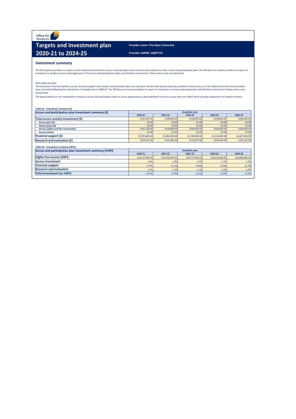Office for **Ofs Students** 

# **Targets and investment plan** Provider name: The Open University **2020-21 to 2024-25 Provider UKPRN: 10007773**

## **Investment summary**

The OfS requires providers to report on their planned investment in access, financial support and research and evaluation in their access and participation plan. The OfS does not require providers to report on investment in student success and progression in the access and participation plans and therefore investment in these areas is not recorded here.

The investment forecasts below in access, financial support and research and evaluation does not represent not the total amount spent by providers in these areas. It is the additional amount that providers have committed following the introduction of variable fees in 2006-07. The OfS does not require providers to report on investment in success and progression and therefore investment in these areas is not represented.

The figures below are not comparable to previous access and participation plans or access agreements as data published in previous years does not reflect latest provider projections on student numbers.

| Access and participation plan investment summary $(f)$ |               | <b>Academic year</b> |               |               |               |  |  |  |  |  |  |
|--------------------------------------------------------|---------------|----------------------|---------------|---------------|---------------|--|--|--|--|--|--|
|                                                        | 2020-21       | 2021-22              | 2022-23       | 2023-24       | 2024-25       |  |  |  |  |  |  |
| Total access activity investment (£)                   | £452,200.00   | £438,800.00          | £438,800.00   | £438,800.00   | £438,800.00   |  |  |  |  |  |  |
| Access (pre-16)                                        | £0.00         | £0.00                | £0.00         | E0.00         | £0.00         |  |  |  |  |  |  |
| Access (post-16)                                       | £0.00         | £0.00                | £0.00         | E0.00         | £0.00         |  |  |  |  |  |  |
| <b>Access (adults and the community)</b>               | £452,200.00   | £438,800.00          | £438,800.00   | £438,800.00   | £438,800.00   |  |  |  |  |  |  |
| <b>Access (other)</b>                                  | £0.00         | £0.00                | £0.00         | £0.00         | £0.00         |  |  |  |  |  |  |
| <b>Financial support <math>(f)</math></b>              | £3,933,000.00 | £4,064,000.00        | £4,199,000.00 | £4,326,000.00 | £4,457,000.00 |  |  |  |  |  |  |
| <b>Research and evaluation <math>(f)</math></b>        | £320,415.00   | £326,606.00          | £332,979.00   | £339,484.00   | £346,120.00   |  |  |  |  |  |  |

Note about the data:

| Table 4b - Investment summary (HFI%)                    |                      |                |                |                |                |  |  |  |  |  |  |
|---------------------------------------------------------|----------------------|----------------|----------------|----------------|----------------|--|--|--|--|--|--|
| Access and participation plan investment summary (%HFI) | <b>Academic year</b> |                |                |                |                |  |  |  |  |  |  |
|                                                         | 2020-21              | 2021-22        | 2022-23        | 2023-24        | 2024-25        |  |  |  |  |  |  |
| Higher fee income (£HFI)                                | £23,157,000.00       | £26,935,000.00 | £30,777,000.00 | £33,916,000.00 | £34,966,000.00 |  |  |  |  |  |  |
| <b>Access investment</b>                                | 2.0%                 | 1.6%           | 1.4%           | 1.3%           | 1.3%           |  |  |  |  |  |  |
| <b>Financial support</b>                                | 17.0%                | 15.1%          | 13.6%          | 12.8%          | 12.7%          |  |  |  |  |  |  |
| <b>Research and evaluation</b>                          | 1.4%                 | 1.2%           | 1.1%           | 1.0%           | 1.0%           |  |  |  |  |  |  |
| <b>Total investment (as %HFI)</b>                       | 20.3%                | 17.9%          | 16.2%          | 15.0%          | 15.0%          |  |  |  |  |  |  |
|                                                         |                      |                |                |                |                |  |  |  |  |  |  |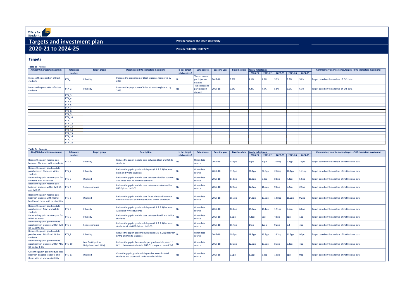**Provider name: The Open University**

**Provider UKPRN: 10007773**

**Table 2a - Access**

#### **Table 2b - Success**

| Table Za - Access                |                   |                     |                                                         |                |                |                      |                                   |         |             |      |                         |      |                                                           |
|----------------------------------|-------------------|---------------------|---------------------------------------------------------|----------------|----------------|----------------------|-----------------------------------|---------|-------------|------|-------------------------|------|-----------------------------------------------------------|
| Aim (500 characters maximum)     | Reference         | <b>Target group</b> | <b>Description (500 characters maximum)</b>             | Is this target | Data source    | <b>Baseline year</b> | Baseline data   Yearly milestones |         |             |      |                         |      | Commentary on milestones/targets (500 characters maximum) |
|                                  | number            |                     |                                                         | collaborative? |                |                      |                                   | 2020-21 | $ 2021-22 $ |      | 2022-23 2023-24 2024-25 |      |                                                           |
| Increase the proportion of Black |                   |                     | Increase the proportion of Black students registered by |                | The access and |                      |                                   |         |             |      |                         |      |                                                           |
|                                  | PTA_1             | Ethnicity           |                                                         |                | participation  | 2017-18              | 3.8%                              | 4.1%    | 4.6%        | 5.2% | 5.6%                    | 5.8% | Target based on the analysis of OfS data                  |
| students                         |                   |                     | 2025                                                    |                | dataset        |                      |                                   |         |             |      |                         |      |                                                           |
| Increase the proportion of Asian |                   |                     | Increase the proportion of Asian students registered by |                | The access and |                      |                                   |         |             |      |                         |      |                                                           |
| students                         | PTA_2             | Ethnicity           | 2025                                                    | INo.           | participation  | 2017-18              | 3.6%                              | 4.4%    | 4.9%        | 5.5% | 6.0%                    | 6.1% | Target based on the analysis of OfS data                  |
|                                  |                   |                     |                                                         |                | dataset        |                      |                                   |         |             |      |                         |      |                                                           |
|                                  | PTA <sub>3</sub>  |                     |                                                         |                |                |                      |                                   |         |             |      |                         |      |                                                           |
|                                  | PTA <sub>4</sub>  |                     |                                                         |                |                |                      |                                   |         |             |      |                         |      |                                                           |
|                                  | PTA_5             |                     |                                                         |                |                |                      |                                   |         |             |      |                         |      |                                                           |
|                                  | PTA <sub>_6</sub> |                     |                                                         |                |                |                      |                                   |         |             |      |                         |      |                                                           |
|                                  | PTA_7             |                     |                                                         |                |                |                      |                                   |         |             |      |                         |      |                                                           |
|                                  | PTA_8             |                     |                                                         |                |                |                      |                                   |         |             |      |                         |      |                                                           |
|                                  | PTA 9             |                     |                                                         |                |                |                      |                                   |         |             |      |                         |      |                                                           |
|                                  | <b>PTA_10</b>     |                     |                                                         |                |                |                      |                                   |         |             |      |                         |      |                                                           |
|                                  | <b>PTA_11</b>     |                     |                                                         |                |                |                      |                                   |         |             |      |                         |      |                                                           |
|                                  | <b>PTA_12</b>     |                     |                                                         |                |                |                      |                                   |         |             |      |                         |      |                                                           |
|                                  | <b>PTA_13</b>     |                     |                                                         |                |                |                      |                                   |         |             |      |                         |      |                                                           |
|                                  | <b>PTA_14</b>     |                     |                                                         |                |                |                      |                                   |         |             |      |                         |      |                                                           |
|                                  | <b>PTA_15</b>     |                     |                                                         |                |                |                      |                                   |         |             |      |                         |      |                                                           |
|                                  | <b>PTA_16</b>     |                     |                                                         |                |                |                      |                                   |         |             |      |                         |      |                                                           |
|                                  | <b>PTA_17</b>     |                     |                                                         |                |                |                      |                                   |         |             |      |                         |      |                                                           |
|                                  | <b>PTA_18</b>     |                     |                                                         |                |                |                      |                                   |         |             |      |                         |      |                                                           |

| able zu - Success<br>Aim (500 characters maximum)                                                    | <b>Reference</b> | <b>Target group</b>                      | <b>Description</b>                                                                                                 | Is this target | Data source          | <b>Baseline year</b> | <b>Baseline data</b> | <b>Yearly milestones</b> |                    |                   |                    |                    | Commentary on milestones/targets (500 characters maximum) |
|------------------------------------------------------------------------------------------------------|------------------|------------------------------------------|--------------------------------------------------------------------------------------------------------------------|----------------|----------------------|----------------------|----------------------|--------------------------|--------------------|-------------------|--------------------|--------------------|-----------------------------------------------------------|
|                                                                                                      | number           |                                          |                                                                                                                    | collaborative? |                      |                      |                      | 2020-21                  | 2021-22            | 2022-23           | 2023-24            | 2024-25            |                                                           |
| Reduce the gap in module pass<br>between Black and White students                                    | PTS <sub>1</sub> | Ethnicity                                | Reduce the gap in module pass between Black and White<br>students                                                  | INo            | Other data<br>source | 2017-18              | 13.9pp               | 13pp                     | 12pp               | 10.9pp            | 9.2 <sub>pp</sub>  | 7.5 <sub>pp</sub>  | Target based on the analysis of institutional data        |
| Reduce the gap in good module<br>pass between Black and White<br>students                            | $PTS_2$          | Ethnicity                                | Reduce the gap in good module pass (1:1 & 2:1) between<br><b>Black and White students</b>                          |                | Other data<br>source | 2017-18              | 31.1 <sub>pp</sub>   | 28.1pp                   | 24.6pp             | 20.6pp            | 16.1pp             | 11.1 <sub>pp</sub> | Target based on the analysis of institutional data        |
| Reduce the gap in module pass for<br>students with disabilities                                      | $PTS_3$          | <b>Disabled</b>                          | Reduce the gap in module pass between disabled students<br>and those with no known disabilities                    |                | Other data<br>source | 2017-18              | 11.5pp               | 10.8 <sub>pp</sub>       | 9.8 <sub>pp</sub>  | 8.8pp             | 7.4 <sub>pp</sub>  | 5.5pp              | Target based on the analysis of institutional data        |
| Reduce the gap in module pass<br>between students within IMD Q1<br>and IMD Q5                        | PTS <sub>4</sub> | Socio-economic                           | Reduce the gap in module pass between students within<br>IMD Q1 and IMD Q5                                         | N <sub>0</sub> | Other data<br>source | 2017-18              | 12.9 <sub>pp</sub>   | 12.4 <sub>pp</sub>       | 11.9 <sub>pp</sub> | 9.0 <sub>pp</sub> | 6.2pp              | 2.9 <sub>pp</sub>  | Target based on the analysis of institutional data        |
| Reduce the gap in module pass<br>between students with mental<br>health and those with no disability | $PTS_5$          | <b>Disabled</b>                          | Reduce the gap in module pass for students with mental<br>health difficulties and those with no known disabilities | INo.           | Other data<br>source | 2017-18              | 15.7 <sub>pp</sub>   | 14.8 <sub>pp</sub>       | 13.8 <sub>pp</sub> | 12.8pp            | 11.2 <sub>pp</sub> | 9.2 <sub>pp</sub>  | Target based on the analysis of institutional data        |
| Reduce the gap in good module<br>pass between Asian and White<br>students                            | $PTS_6$          | Ethnicity                                | Reduce the gap in good module pass (1:1 & 2:1) between<br>Asian and White students                                 | INo.           | Other data<br>source | 2017-18              | 16.6pp               | 15.6pp                   | 14.1pp             | 12.1pp            | 9.6 <sub>pp</sub>  | 6.6 <sub>pp</sub>  | Target based on the analysis of institutional data        |
| Reduce the gap in module pass for<br><b>BAME</b> students                                            | PTS <sub>7</sub> | Ethnicity                                | Reduce the gap in module pass between BAME and White<br>students                                                   | No.            | Other data<br>source | 2017-18              | 8.3 <sub>pp</sub>    | 7.3 <sub>pp</sub>        | 6pp                | 4.5 <sub>pp</sub> | 3pp                | 1pp                | Target based on the analysis of institutional data        |
| Reduce the gap in good module<br>pass between students within IMD PTS 8<br>Q1 and IMD Q5             |                  | Socio-economic                           | Reduce the gap in good module pass (1:1 & 2:1) between<br>students within IMD Q1 and IMD Q5                        |                | Other data<br>source | 2017-18              | 15.4pp               | 14pp                     | 12pp               | 9.2 <sub>pp</sub> |                    | 4pp                | Target based on the analysis of institutional data        |
| Reduce the gap in good module<br>pass between BAME and White<br>students                             | $PTS_9$          | Ethnicity                                | Reduce the gap in good module passes (1:1 & 2:1) between<br><b>BAME and White students</b>                         |                | Other data<br>source | 2017-18              | 19.3pp               | 18.3 <sub>pp</sub>       | 16.3 <sub>pp</sub> | 14.3pp            | 11.7 <sub>pp</sub> | 9.3 <sub>pp</sub>  | Target based on the analysis of institutional data        |
| Reduce the gap in good module<br>pass between students within AHE PTS 10<br>Q1 and AHE Q5            |                  | Low Participation<br>Neighbourhood (LPN) | Reduce the gap in the awarding of good module pass (1:1)<br>& 2:1) between students in AHE Q1 compared to AHE Q5   | INo.           | Other data<br>source | 2017-18              | 13.3 <sub>pp</sub>   | 12.3pp                   | 10.3 <sub>pp</sub> | 8.3pp             | 6.3 <sub>pp</sub>  | 4pp                | Target based on the analysis of institutional data        |
| Close the gap in good module pass<br>between disabled students and<br>those with no known disability | $PTS_11$         | <b>Disabled</b>                          | Close the gap in good module pass between disabled<br>students and those with no known disabilities                |                | Other data<br>source | 2017-18              | 3.9 <sub>pp</sub>    | 3.5 <sub>pp</sub>        | 2.8 <sub>pp</sub>  | 1.9 <sub>pp</sub> | 1pp                | Opp                | Target based on the analysis of institutional data        |

# **Targets and investment plan 2020-21 to 2024-25**

# **Targets**